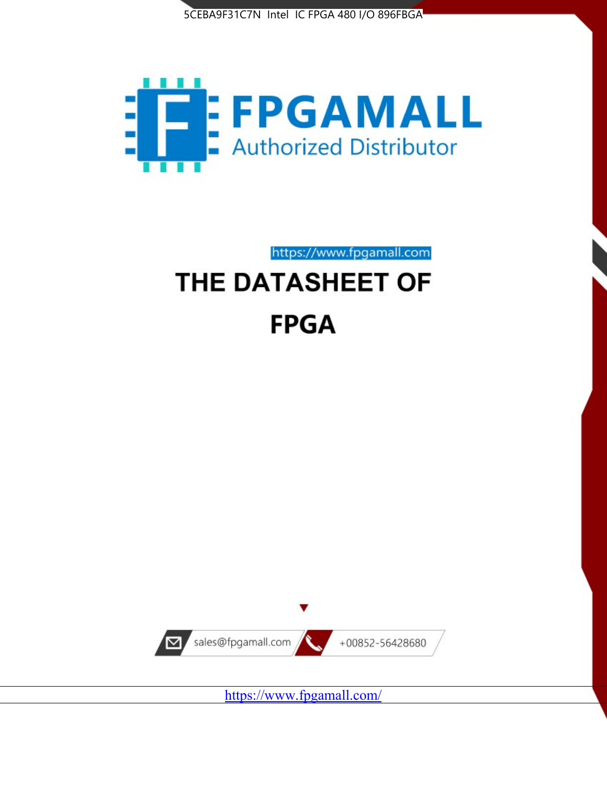



https://www.fpgamall.com

# THE DATASHEET OF **FPGA**



<https://www.fpgamall.com/>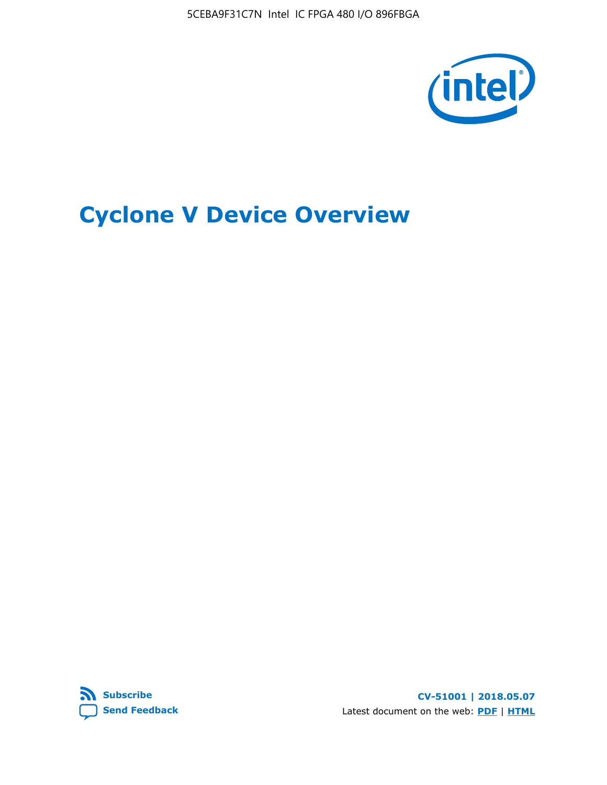5CEBA9F31C7N Intel IC FPGA 480 I/O 896FBGA



# **Cyclone V Device Overview**



**CV-51001 | 2018.05.07** Latest document on the web: **[PDF](https://www.altera.com/en_US/pdfs/literature/hb/cyclone-v/cv_51001.pdf)** | **[HTML](https://www.altera.com/documentation/sam1403480548153.html)**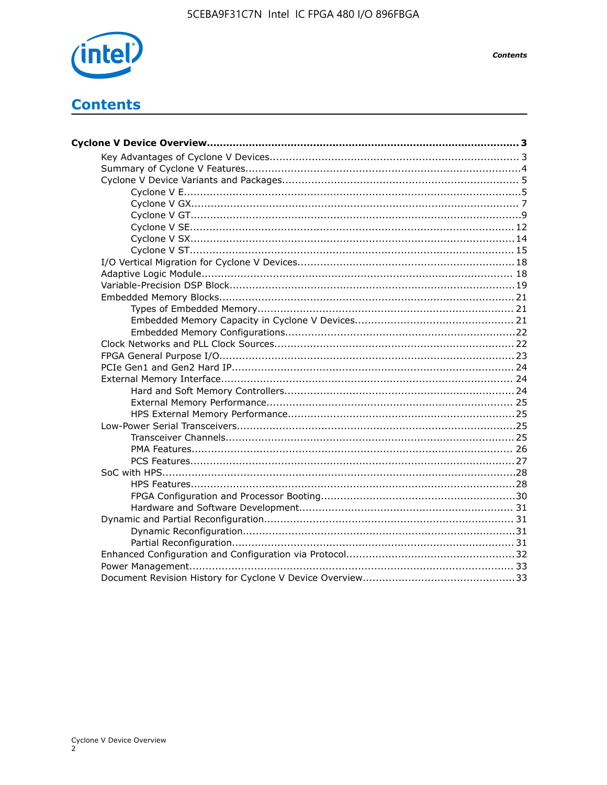

# **Contents**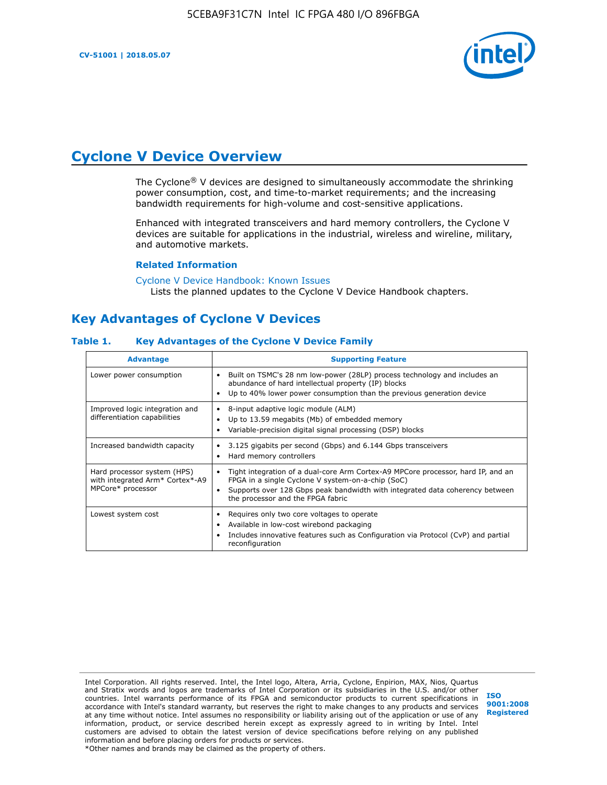

# **Cyclone V Device Overview**

The Cyclone® V devices are designed to simultaneously accommodate the shrinking power consumption, cost, and time-to-market requirements; and the increasing bandwidth requirements for high-volume and cost-sensitive applications.

Enhanced with integrated transceivers and hard memory controllers, the Cyclone V devices are suitable for applications in the industrial, wireless and wireline, military, and automotive markets.

#### **Related Information**

[Cyclone V Device Handbook: Known Issues](https://www.altera.com/support/support-resources/knowledge-base/solutions/rd12152011_347.html) Lists the planned updates to the Cyclone V Device Handbook chapters.

## **Key Advantages of Cyclone V Devices**

#### **Table 1. Key Advantages of the Cyclone V Device Family**

| <b>Advantage</b>                                                                    | <b>Supporting Feature</b>                                                                                                                                                                                                                                                    |
|-------------------------------------------------------------------------------------|------------------------------------------------------------------------------------------------------------------------------------------------------------------------------------------------------------------------------------------------------------------------------|
| Lower power consumption                                                             | Built on TSMC's 28 nm low-power (28LP) process technology and includes an<br>$\bullet$<br>abundance of hard intellectual property (IP) blocks<br>Up to 40% lower power consumption than the previous generation device                                                       |
| Improved logic integration and<br>differentiation capabilities                      | 8-input adaptive logic module (ALM)<br>٠<br>Up to 13.59 megabits (Mb) of embedded memory<br>٠<br>Variable-precision digital signal processing (DSP) blocks                                                                                                                   |
| Increased bandwidth capacity                                                        | 3.125 gigabits per second (Gbps) and 6.144 Gbps transceivers<br>٠<br>Hard memory controllers<br>٠                                                                                                                                                                            |
| Hard processor system (HPS)<br>with integrated Arm* Cortex*-A9<br>MPCore* processor | Tight integration of a dual-core Arm Cortex-A9 MPCore processor, hard IP, and an<br>$\bullet$<br>FPGA in a single Cyclone V system-on-a-chip (SoC)<br>Supports over 128 Gbps peak bandwidth with integrated data coherency between<br>٠<br>the processor and the FPGA fabric |
| Lowest system cost                                                                  | Requires only two core voltages to operate<br>٠<br>Available in low-cost wirebond packaging<br>٠<br>Includes innovative features such as Configuration via Protocol (CvP) and partial<br>٠<br>reconfiguration                                                                |

Intel Corporation. All rights reserved. Intel, the Intel logo, Altera, Arria, Cyclone, Enpirion, MAX, Nios, Quartus and Stratix words and logos are trademarks of Intel Corporation or its subsidiaries in the U.S. and/or other countries. Intel warrants performance of its FPGA and semiconductor products to current specifications in accordance with Intel's standard warranty, but reserves the right to make changes to any products and services at any time without notice. Intel assumes no responsibility or liability arising out of the application or use of any information, product, or service described herein except as expressly agreed to in writing by Intel. Intel customers are advised to obtain the latest version of device specifications before relying on any published information and before placing orders for products or services. \*Other names and brands may be claimed as the property of others.

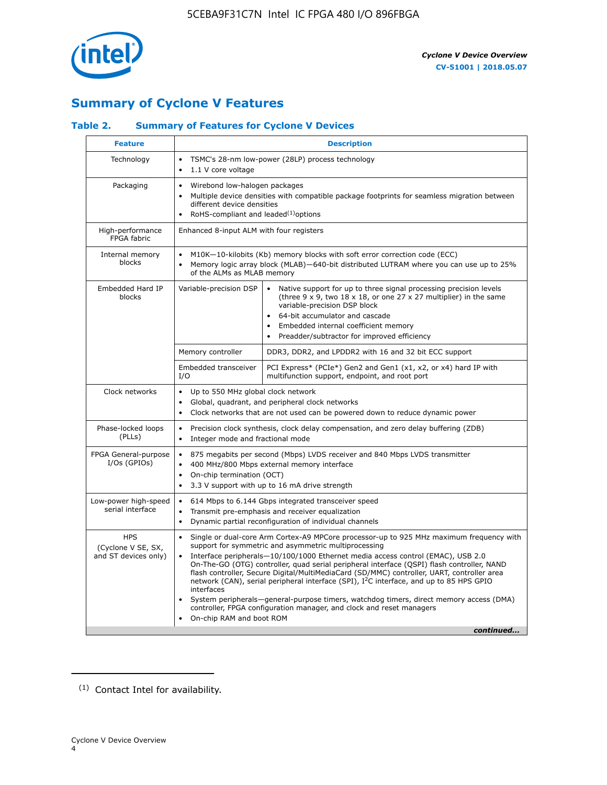

## **Summary of Cyclone V Features**

## **Table 2. Summary of Features for Cyclone V Devices**

| <b>Feature</b>                                           | <b>Description</b>                                                                                                                                                                                                                                                                                                                        |                                                                                                                                                                                                                                                                                                                                                                                                                                                                                                                                                                                                                                                                                                         |  |  |  |  |  |  |
|----------------------------------------------------------|-------------------------------------------------------------------------------------------------------------------------------------------------------------------------------------------------------------------------------------------------------------------------------------------------------------------------------------------|---------------------------------------------------------------------------------------------------------------------------------------------------------------------------------------------------------------------------------------------------------------------------------------------------------------------------------------------------------------------------------------------------------------------------------------------------------------------------------------------------------------------------------------------------------------------------------------------------------------------------------------------------------------------------------------------------------|--|--|--|--|--|--|
| Technology                                               | $\bullet$<br>1.1 V core voltage<br>$\bullet$                                                                                                                                                                                                                                                                                              | TSMC's 28-nm low-power (28LP) process technology                                                                                                                                                                                                                                                                                                                                                                                                                                                                                                                                                                                                                                                        |  |  |  |  |  |  |
| Packaging                                                | $\bullet$                                                                                                                                                                                                                                                                                                                                 | Wirebond low-halogen packages<br>Multiple device densities with compatible package footprints for seamless migration between<br>different device densities<br>RoHS-compliant and leaded $(1)$ options                                                                                                                                                                                                                                                                                                                                                                                                                                                                                                   |  |  |  |  |  |  |
| High-performance<br>FPGA fabric                          | Enhanced 8-input ALM with four registers                                                                                                                                                                                                                                                                                                  |                                                                                                                                                                                                                                                                                                                                                                                                                                                                                                                                                                                                                                                                                                         |  |  |  |  |  |  |
| Internal memory<br>blocks                                | of the ALMs as MLAB memory                                                                                                                                                                                                                                                                                                                | M10K-10-kilobits (Kb) memory blocks with soft error correction code (ECC)<br>Memory logic array block (MLAB)-640-bit distributed LUTRAM where you can use up to 25%                                                                                                                                                                                                                                                                                                                                                                                                                                                                                                                                     |  |  |  |  |  |  |
| Embedded Hard IP<br>blocks                               | Variable-precision DSP<br>Native support for up to three signal processing precision levels<br>(three $9 \times 9$ , two $18 \times 18$ , or one 27 x 27 multiplier) in the same<br>variable-precision DSP block<br>64-bit accumulator and cascade<br>Embedded internal coefficient memory<br>Preadder/subtractor for improved efficiency |                                                                                                                                                                                                                                                                                                                                                                                                                                                                                                                                                                                                                                                                                                         |  |  |  |  |  |  |
|                                                          | Memory controller                                                                                                                                                                                                                                                                                                                         | DDR3, DDR2, and LPDDR2 with 16 and 32 bit ECC support                                                                                                                                                                                                                                                                                                                                                                                                                                                                                                                                                                                                                                                   |  |  |  |  |  |  |
|                                                          | Embedded transceiver<br>I/O                                                                                                                                                                                                                                                                                                               | PCI Express* (PCIe*) Gen2 and Gen1 (x1, x2, or x4) hard IP with<br>multifunction support, endpoint, and root port                                                                                                                                                                                                                                                                                                                                                                                                                                                                                                                                                                                       |  |  |  |  |  |  |
| Clock networks                                           | Up to 550 MHz global clock network<br>$\bullet$<br>$\bullet$                                                                                                                                                                                                                                                                              | Global, quadrant, and peripheral clock networks<br>Clock networks that are not used can be powered down to reduce dynamic power                                                                                                                                                                                                                                                                                                                                                                                                                                                                                                                                                                         |  |  |  |  |  |  |
| Phase-locked loops<br>(PLLs)                             | $\bullet$<br>Integer mode and fractional mode<br>$\bullet$                                                                                                                                                                                                                                                                                | Precision clock synthesis, clock delay compensation, and zero delay buffering (ZDB)                                                                                                                                                                                                                                                                                                                                                                                                                                                                                                                                                                                                                     |  |  |  |  |  |  |
| FPGA General-purpose<br>$I/Os$ (GPIOs)                   | $\bullet$<br>$\bullet$<br>On-chip termination (OCT)<br>$\bullet$                                                                                                                                                                                                                                                                          | 875 megabits per second (Mbps) LVDS receiver and 840 Mbps LVDS transmitter<br>400 MHz/800 Mbps external memory interface<br>3.3 V support with up to 16 mA drive strength                                                                                                                                                                                                                                                                                                                                                                                                                                                                                                                               |  |  |  |  |  |  |
| Low-power high-speed<br>serial interface                 | 614 Mbps to 6.144 Gbps integrated transceiver speed<br>$\bullet$<br>Transmit pre-emphasis and receiver equalization<br>$\bullet$<br>Dynamic partial reconfiguration of individual channels<br>$\bullet$                                                                                                                                   |                                                                                                                                                                                                                                                                                                                                                                                                                                                                                                                                                                                                                                                                                                         |  |  |  |  |  |  |
| <b>HPS</b><br>(Cyclone V SE, SX,<br>and ST devices only) | $\bullet$<br>$\bullet$<br>interfaces<br>On-chip RAM and boot ROM                                                                                                                                                                                                                                                                          | Single or dual-core Arm Cortex-A9 MPCore processor-up to 925 MHz maximum frequency with<br>support for symmetric and asymmetric multiprocessing<br>Interface peripherals-10/100/1000 Ethernet media access control (EMAC), USB 2.0<br>On-The-GO (OTG) controller, quad serial peripheral interface (QSPI) flash controller, NAND<br>flash controller, Secure Digital/MultiMediaCard (SD/MMC) controller, UART, controller area<br>network (CAN), serial peripheral interface (SPI), I <sup>2</sup> C interface, and up to 85 HPS GPIO<br>System peripherals—general-purpose timers, watchdog timers, direct memory access (DMA)<br>controller, FPGA configuration manager, and clock and reset managers |  |  |  |  |  |  |
|                                                          |                                                                                                                                                                                                                                                                                                                                           | continued                                                                                                                                                                                                                                                                                                                                                                                                                                                                                                                                                                                                                                                                                               |  |  |  |  |  |  |

<sup>(1)</sup> Contact Intel for availability.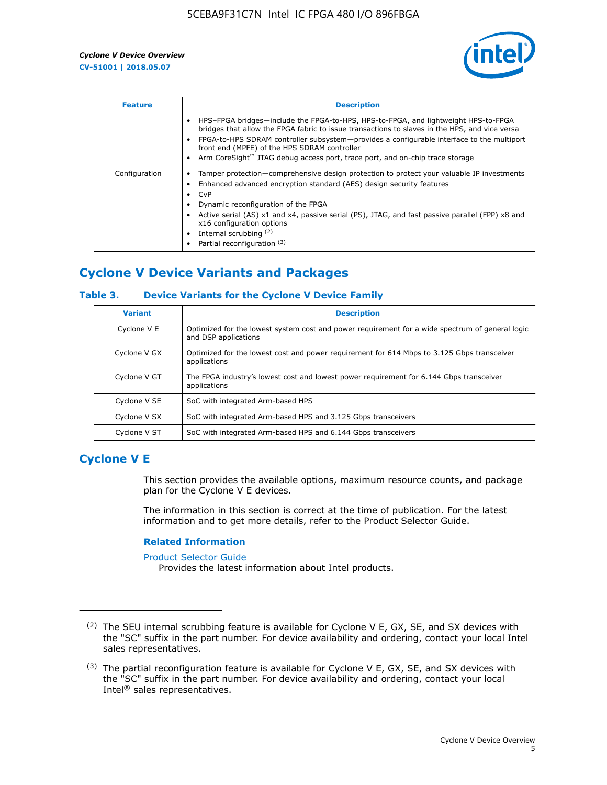

| <b>Feature</b> | <b>Description</b>                                                                                                                                                                                                                                                                                                                                                                                                           |
|----------------|------------------------------------------------------------------------------------------------------------------------------------------------------------------------------------------------------------------------------------------------------------------------------------------------------------------------------------------------------------------------------------------------------------------------------|
|                | HPS-FPGA bridges—include the FPGA-to-HPS, HPS-to-FPGA, and lightweight HPS-to-FPGA<br>bridges that allow the FPGA fabric to issue transactions to slaves in the HPS, and vice versa<br>FPGA-to-HPS SDRAM controller subsystem—provides a configurable interface to the multiport<br>front end (MPFE) of the HPS SDRAM controller<br>Arm CoreSight <sup>™</sup> JTAG debug access port, trace port, and on-chip trace storage |
| Configuration  | Tamper protection—comprehensive design protection to protect your valuable IP investments<br>Enhanced advanced encryption standard (AES) design security features<br>CvP<br>$\bullet$<br>Dynamic reconfiguration of the FPGA<br>Active serial (AS) x1 and x4, passive serial (PS), JTAG, and fast passive parallel (FPP) x8 and<br>x16 configuration options<br>Internal scrubbing (2)<br>Partial reconfiguration (3)        |

## **Cyclone V Device Variants and Packages**

#### **Table 3. Device Variants for the Cyclone V Device Family**

| <b>Variant</b> | <b>Description</b>                                                                                                      |
|----------------|-------------------------------------------------------------------------------------------------------------------------|
| Cyclone V E    | Optimized for the lowest system cost and power requirement for a wide spectrum of general logic<br>and DSP applications |
| Cyclone V GX   | Optimized for the lowest cost and power requirement for 614 Mbps to 3.125 Gbps transceiver<br>applications              |
| Cyclone V GT   | The FPGA industry's lowest cost and lowest power requirement for 6.144 Gbps transceiver<br>applications                 |
| Cyclone V SE   | SoC with integrated Arm-based HPS                                                                                       |
| Cyclone V SX   | SoC with integrated Arm-based HPS and 3.125 Gbps transceivers                                                           |
| Cyclone V ST   | SoC with integrated Arm-based HPS and 6.144 Gbps transceivers                                                           |

## **Cyclone V E**

This section provides the available options, maximum resource counts, and package plan for the Cyclone V E devices.

The information in this section is correct at the time of publication. For the latest information and to get more details, refer to the Product Selector Guide.

#### **Related Information**

[Product Selector Guide](https://www.altera.com/products/product-selector-guide.html)

Provides the latest information about Intel products.

<sup>(2)</sup> The SEU internal scrubbing feature is available for Cyclone V E, GX, SE, and SX devices with the "SC" suffix in the part number. For device availability and ordering, contact your local Intel sales representatives.

 $(3)$  The partial reconfiguration feature is available for Cyclone V E, GX, SE, and SX devices with the "SC" suffix in the part number. For device availability and ordering, contact your local Intel® sales representatives.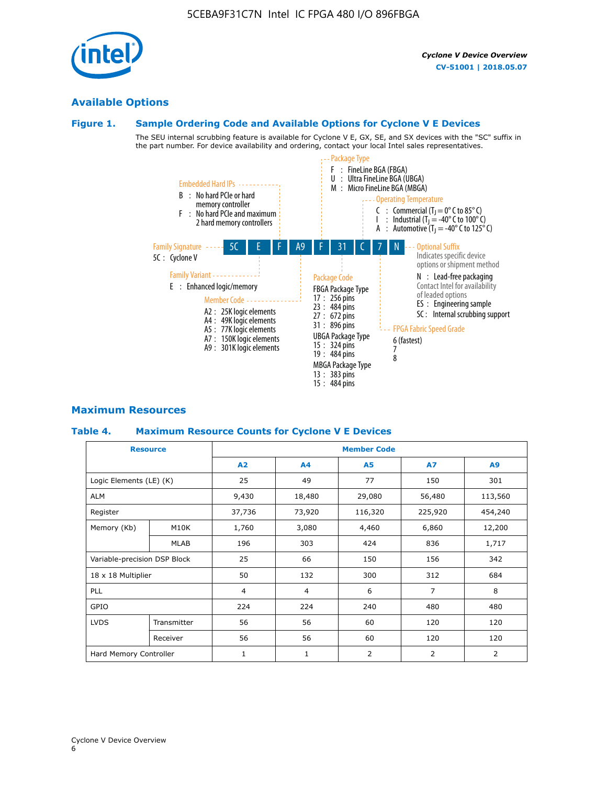## **Available Options**

#### **Figure 1. Sample Ordering Code and Available Options for Cyclone V E Devices**

The SEU internal scrubbing feature is available for Cyclone V E, GX, SE, and SX devices with the "SC" suffix in the part number. For device availability and ordering, contact your local Intel sales representatives.



#### **Maximum Resources**

#### **Table 4. Maximum Resource Counts for Cyclone V E Devices**

| <b>Resource</b>              |                        | <b>Member Code</b> |                |                |                |         |  |  |
|------------------------------|------------------------|--------------------|----------------|----------------|----------------|---------|--|--|
|                              |                        | A2                 | A <sub>4</sub> | <b>A5</b>      | <b>A7</b>      | A9      |  |  |
| Logic Elements (LE) (K)      |                        | 25                 | 49             | 77             | 150            | 301     |  |  |
| <b>ALM</b>                   |                        | 9,430              | 18,480         | 29,080         | 56,480         | 113,560 |  |  |
| Register                     |                        | 37,736             | 73,920         | 116,320        | 225,920        | 454,240 |  |  |
| Memory (Kb)                  | M10K                   | 1,760              | 3,080          | 4,460          | 6,860          | 12,200  |  |  |
|                              | <b>MLAB</b>            | 196                | 303            | 424            | 836            | 1,717   |  |  |
| Variable-precision DSP Block |                        | 25                 | 66             | 150            | 156            | 342     |  |  |
| 18 x 18 Multiplier           |                        | 50                 | 132            | 300            | 312            | 684     |  |  |
| PLL                          |                        | $\overline{4}$     | 4              | 6              | $\overline{7}$ | 8       |  |  |
| GPIO                         |                        | 224                | 224            | 240            | 480            | 480     |  |  |
| <b>LVDS</b>                  | Transmitter            | 56                 | 56             | 60             | 120            | 120     |  |  |
|                              | Receiver               | 56                 | 56             | 60             | 120            | 120     |  |  |
|                              | Hard Memory Controller |                    | $\mathbf{1}$   | $\overline{2}$ | 2              | 2       |  |  |

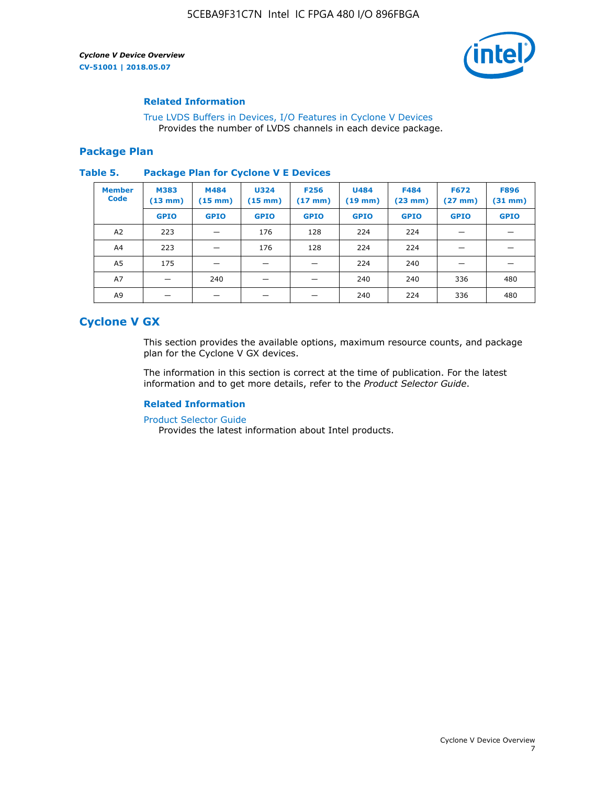

#### **Related Information**

[True LVDS Buffers in Devices, I/O Features in Cyclone V Devices](https://www.altera.com/documentation/sam1403481100977.html#sam1403480885395) Provides the number of LVDS channels in each device package.

#### **Package Plan**

#### **Table 5. Package Plan for Cyclone V E Devices**

| <b>Member</b><br><b>Code</b> | <b>M383</b><br>$(13 \text{ mm})$ | M484<br>$(15 \text{ mm})$ | <b>U324</b><br>$(15 \text{ mm})$ | <b>F256</b><br>$(17 \text{ mm})$ | <b>U484</b><br>$(19$ mm) | <b>F484</b><br>$(23$ mm $)$ | <b>F672</b><br>$(27 \text{ mm})$ | <b>F896</b><br>$(31 \text{ mm})$ |
|------------------------------|----------------------------------|---------------------------|----------------------------------|----------------------------------|--------------------------|-----------------------------|----------------------------------|----------------------------------|
|                              | <b>GPIO</b>                      | <b>GPIO</b>               | <b>GPIO</b>                      | <b>GPIO</b>                      | <b>GPIO</b>              | <b>GPIO</b>                 | <b>GPIO</b>                      | <b>GPIO</b>                      |
| A <sub>2</sub>               | 223                              |                           | 176                              | 128                              | 224                      | 224                         |                                  |                                  |
| A4                           | 223                              |                           | 176                              | 128                              | 224                      | 224                         | –                                |                                  |
| A <sub>5</sub>               | 175                              |                           |                                  |                                  | 224                      | 240                         |                                  |                                  |
| A7                           |                                  | 240                       |                                  |                                  | 240                      | 240                         | 336                              | 480                              |
| A9                           |                                  |                           |                                  |                                  | 240                      | 224                         | 336                              | 480                              |

## **Cyclone V GX**

This section provides the available options, maximum resource counts, and package plan for the Cyclone V GX devices.

The information in this section is correct at the time of publication. For the latest information and to get more details, refer to the *Product Selector Guide*.

#### **Related Information**

[Product Selector Guide](https://www.altera.com/products/product-selector-guide.html)

Provides the latest information about Intel products.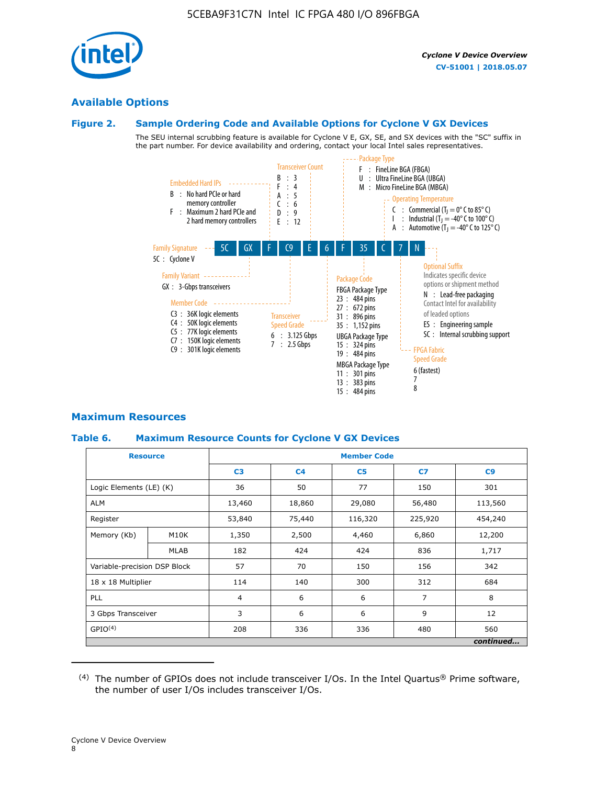

## **Available Options**

#### **Figure 2. Sample Ordering Code and Available Options for Cyclone V GX Devices**

The SEU internal scrubbing feature is available for Cyclone V E, GX, SE, and SX devices with the "SC" suffix in the part number. For device availability and ordering, contact your local Intel sales representatives.



#### **Maximum Resources**

#### **Table 6. Maximum Resource Counts for Cyclone V GX Devices**

|                              | <b>Resource</b> | <b>Member Code</b> |                |                |                |           |  |  |
|------------------------------|-----------------|--------------------|----------------|----------------|----------------|-----------|--|--|
|                              |                 | C <sub>3</sub>     | C <sub>4</sub> | C <sub>5</sub> | C7             | C9        |  |  |
| Logic Elements (LE) (K)      |                 | 36                 | 50             | 77             | 150            | 301       |  |  |
| <b>ALM</b>                   |                 | 13,460             | 18,860         | 29,080         | 56,480         | 113,560   |  |  |
| Register                     |                 |                    | 75,440         | 116,320        | 225,920        | 454,240   |  |  |
| Memory (Kb)                  | M10K            | 1,350              | 2,500          | 4,460          | 6,860          | 12,200    |  |  |
|                              | <b>MLAB</b>     | 182                | 424            | 424            | 836            | 1,717     |  |  |
| Variable-precision DSP Block |                 | 57                 | 70             | 150            | 156            | 342       |  |  |
| 18 x 18 Multiplier           |                 | 114                | 140            | 300            | 312            | 684       |  |  |
| PLL                          |                 | $\overline{4}$     | 6              | 6              | $\overline{7}$ | 8         |  |  |
| 3 Gbps Transceiver           |                 | 3                  | 6              | 6              | 9              | 12        |  |  |
| GPIO <sup>(4)</sup>          |                 | 208                | 336            | 336            | 480            | 560       |  |  |
|                              |                 |                    |                |                |                | continued |  |  |

 $(4)$  The number of GPIOs does not include transceiver I/Os. In the Intel Quartus® Prime software, the number of user I/Os includes transceiver I/Os.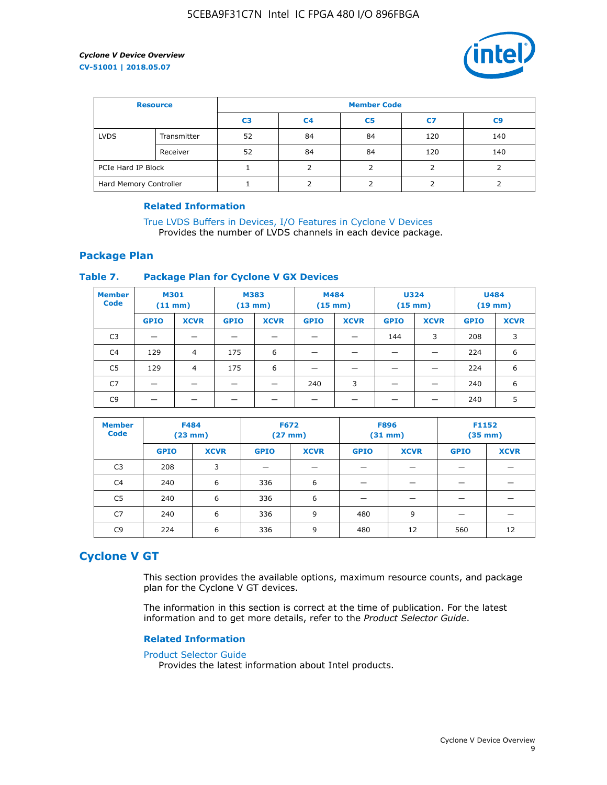

| <b>Resource</b>        |             | <b>Member Code</b> |                |                |     |     |  |  |
|------------------------|-------------|--------------------|----------------|----------------|-----|-----|--|--|
|                        |             | C3                 | C <sub>4</sub> | C <sub>5</sub> | C7  | C9  |  |  |
| <b>LVDS</b>            | Transmitter | 52                 | 84             | 84             | 120 | 140 |  |  |
|                        | Receiver    | 52                 | 84             | 84             | 120 | 140 |  |  |
| PCIe Hard IP Block     |             |                    |                |                |     |     |  |  |
| Hard Memory Controller |             |                    |                |                |     |     |  |  |

#### **Related Information**

[True LVDS Buffers in Devices, I/O Features in Cyclone V Devices](https://www.altera.com/documentation/sam1403481100977.html#sam1403480885395) Provides the number of LVDS channels in each device package.

#### **Package Plan**

#### **Table 7. Package Plan for Cyclone V GX Devices**

| <b>Member</b><br><b>Code</b> | <b>M301</b><br>(11 mm)   |             | M383<br>$(13 \text{ mm})$ |             | M484        | $(15 \text{ mm})$ | <b>U324</b><br>$(15 \text{ mm})$ |             | <b>U484</b><br>$(19$ mm) |             |
|------------------------------|--------------------------|-------------|---------------------------|-------------|-------------|-------------------|----------------------------------|-------------|--------------------------|-------------|
|                              | <b>GPIO</b>              | <b>XCVR</b> | <b>GPIO</b>               | <b>XCVR</b> | <b>GPIO</b> | <b>XCVR</b>       | <b>GPIO</b>                      | <b>XCVR</b> | <b>GPIO</b>              | <b>XCVR</b> |
| C <sub>3</sub>               | $\overline{\phantom{0}}$ | _           |                           |             |             |                   | 144                              | 3           | 208                      | 3           |
| C <sub>4</sub>               | 129                      | 4           | 175                       | 6           |             |                   |                                  |             | 224                      | 6           |
| C5                           | 129                      | 4           | 175                       | 6           |             |                   |                                  |             | 224                      | 6           |
| C7                           |                          |             |                           |             | 240         | 3                 |                                  |             | 240                      | 6           |
| C <sub>9</sub>               |                          |             |                           |             |             |                   |                                  |             | 240                      | 5           |

| <b>Member</b><br><b>Code</b> | <b>F484</b> | $(23$ mm)   |             | <b>F672</b><br><b>F896</b><br>F1152<br>$(27$ mm $)$<br>$(31 \text{ mm})$<br>$(35 \text{ mm})$ |             |             |             |             |  |  |
|------------------------------|-------------|-------------|-------------|-----------------------------------------------------------------------------------------------|-------------|-------------|-------------|-------------|--|--|
|                              | <b>GPIO</b> | <b>XCVR</b> | <b>GPIO</b> | <b>XCVR</b>                                                                                   | <b>GPIO</b> | <b>XCVR</b> | <b>GPIO</b> | <b>XCVR</b> |  |  |
| C <sub>3</sub>               | 208         | 3           |             |                                                                                               |             |             |             |             |  |  |
| C4                           | 240         | 6           | 336         | 6                                                                                             |             |             |             |             |  |  |
| C5                           | 240         | 6           | 336         | 6                                                                                             |             |             |             |             |  |  |
| C7                           | 240         | 6           | 336         | 9                                                                                             | 480         | 9           |             |             |  |  |
| C9                           | 224         | 6           | 336         | 9                                                                                             | 480         | 12          | 560         | 12          |  |  |

## **Cyclone V GT**

This section provides the available options, maximum resource counts, and package plan for the Cyclone V GT devices.

The information in this section is correct at the time of publication. For the latest information and to get more details, refer to the *Product Selector Guide*.

#### **Related Information**

#### [Product Selector Guide](https://www.altera.com/products/product-selector-guide.html)

Provides the latest information about Intel products.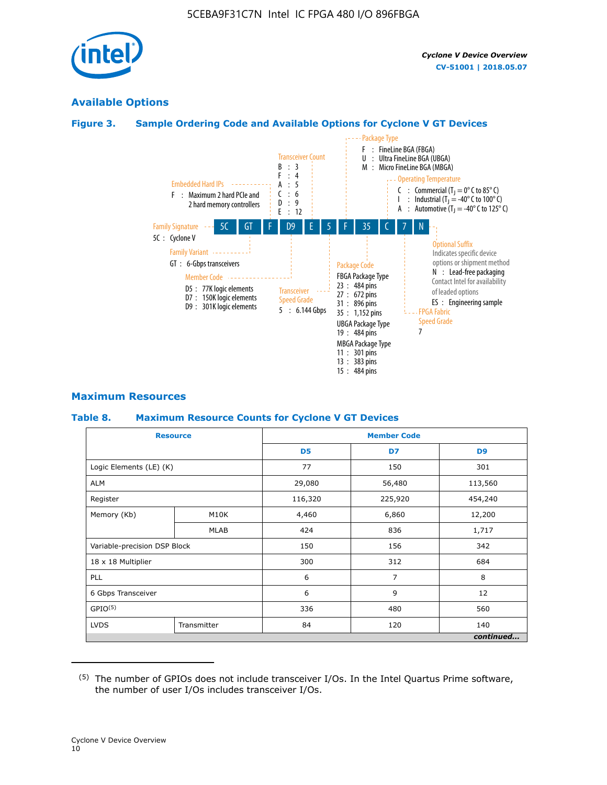

## **Available Options**

#### **Figure 3. Sample Ordering Code and Available Options for Cyclone V GT Devices**



#### **Maximum Resources**

#### **Table 8. Maximum Resource Counts for Cyclone V GT Devices**

|                              | <b>Resource</b> | <b>Member Code</b> |         |                |  |  |
|------------------------------|-----------------|--------------------|---------|----------------|--|--|
|                              |                 | D <sub>5</sub>     | D7      | D <sub>9</sub> |  |  |
| Logic Elements (LE) (K)      |                 | 77                 | 150     | 301            |  |  |
| <b>ALM</b>                   |                 | 29,080             | 56,480  | 113,560        |  |  |
| Register                     |                 | 116,320            | 225,920 | 454,240        |  |  |
| Memory (Kb)                  | M10K            | 4,460              | 6,860   | 12,200         |  |  |
|                              | <b>MLAB</b>     | 424                | 836     | 1,717          |  |  |
| Variable-precision DSP Block |                 | 150                | 156     | 342            |  |  |
| 18 x 18 Multiplier           |                 | 300                | 312     | 684            |  |  |
| PLL                          |                 | 6                  | 7       | 8              |  |  |
| 6 Gbps Transceiver           |                 |                    | 9       | 12             |  |  |
| GPIO <sup>(5)</sup>          |                 | 336                | 480     | 560            |  |  |
| <b>LVDS</b>                  | Transmitter     | 84                 | 120     | 140            |  |  |
|                              |                 |                    |         | continued      |  |  |

<sup>(5)</sup> The number of GPIOs does not include transceiver I/Os. In the Intel Quartus Prime software, the number of user I/Os includes transceiver I/Os.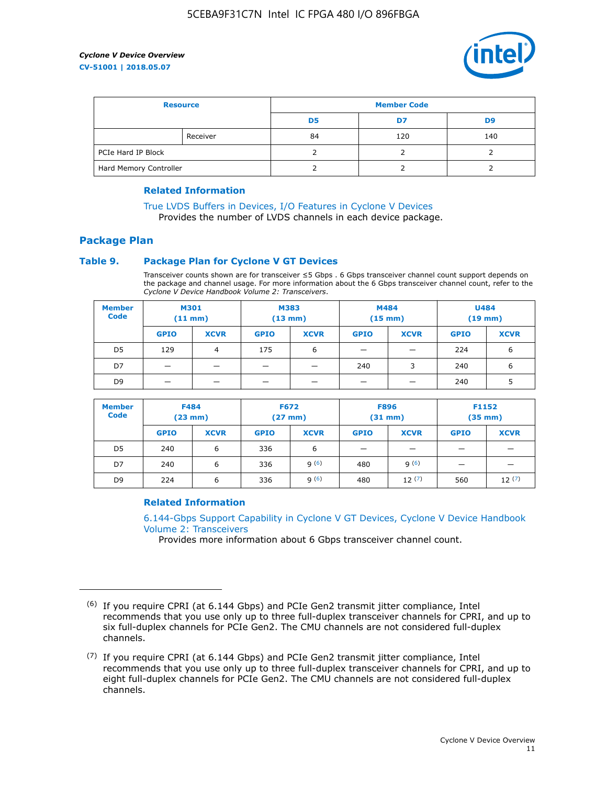

| <b>Resource</b>        |          | <b>Member Code</b> |     |     |  |  |
|------------------------|----------|--------------------|-----|-----|--|--|
|                        |          | D5                 | D7  | D9  |  |  |
|                        | Receiver | 84                 | 120 | 140 |  |  |
| PCIe Hard IP Block     |          |                    |     |     |  |  |
| Hard Memory Controller |          |                    |     |     |  |  |

#### **Related Information**

[True LVDS Buffers in Devices, I/O Features in Cyclone V Devices](https://www.altera.com/documentation/sam1403481100977.html#sam1403480885395) Provides the number of LVDS channels in each device package.

## **Package Plan**

#### **Table 9. Package Plan for Cyclone V GT Devices**

Transceiver counts shown are for transceiver ≤5 Gbps . 6 Gbps transceiver channel count support depends on the package and channel usage. For more information about the 6 Gbps transceiver channel count, refer to the *Cyclone V Device Handbook Volume 2: Transceivers*.

| <b>Member</b><br><b>Code</b> | <b>M301</b><br>(11 mm) |                | M383<br>$(13 \text{ mm})$ |             | M484<br>$(15 \text{ mm})$ |             | <b>U484</b><br>$(19$ mm) |             |
|------------------------------|------------------------|----------------|---------------------------|-------------|---------------------------|-------------|--------------------------|-------------|
|                              | <b>GPIO</b>            | <b>XCVR</b>    | <b>GPIO</b>               | <b>XCVR</b> | <b>GPIO</b>               | <b>XCVR</b> | <b>GPIO</b>              | <b>XCVR</b> |
| D <sub>5</sub>               | 129                    | $\overline{4}$ | 175                       | 6           | -                         | –           | 224                      | 6           |
| D7                           | -                      |                |                           |             | 240                       | 3           | 240                      | 6           |
| D <sub>9</sub>               | -                      |                |                           |             | _                         |             | 240                      |             |

| <b>Member</b><br><b>Code</b> | <b>F484</b><br>$(23$ mm $)$ |             | <b>F672</b><br>$(27 \text{ mm})$ |             | <b>F896</b><br>$(31 \text{ mm})$ |             | F1152<br>$(35 \text{ mm})$ |             |
|------------------------------|-----------------------------|-------------|----------------------------------|-------------|----------------------------------|-------------|----------------------------|-------------|
|                              | <b>GPIO</b>                 | <b>XCVR</b> | <b>GPIO</b>                      | <b>XCVR</b> | <b>GPIO</b>                      | <b>XCVR</b> | <b>GPIO</b>                | <b>XCVR</b> |
| D <sub>5</sub>               | 240                         | 6           | 336                              | 6           | -                                |             | _                          |             |
| D7                           | 240                         | 6           | 336                              | q(6)        | 480                              | q(6)        | $\overline{\phantom{0}}$   | -           |
| D <sub>9</sub>               | 224                         | 6           | 336                              | 9(6)        | 480                              | 12(7)       | 560                        | 12(7)       |

#### **Related Information**

[6.144-Gbps Support Capability in Cyclone V GT Devices, Cyclone V Device Handbook](https://www.altera.com/documentation/nik1409855456781.html#nik1409855410757) [Volume 2: Transceivers](https://www.altera.com/documentation/nik1409855456781.html#nik1409855410757)

Provides more information about 6 Gbps transceiver channel count.

<sup>(6)</sup> If you require CPRI (at 6.144 Gbps) and PCIe Gen2 transmit jitter compliance, Intel recommends that you use only up to three full-duplex transceiver channels for CPRI, and up to six full-duplex channels for PCIe Gen2. The CMU channels are not considered full-duplex channels.

 $(7)$  If you require CPRI (at 6.144 Gbps) and PCIe Gen2 transmit jitter compliance, Intel recommends that you use only up to three full-duplex transceiver channels for CPRI, and up to eight full-duplex channels for PCIe Gen2. The CMU channels are not considered full-duplex channels.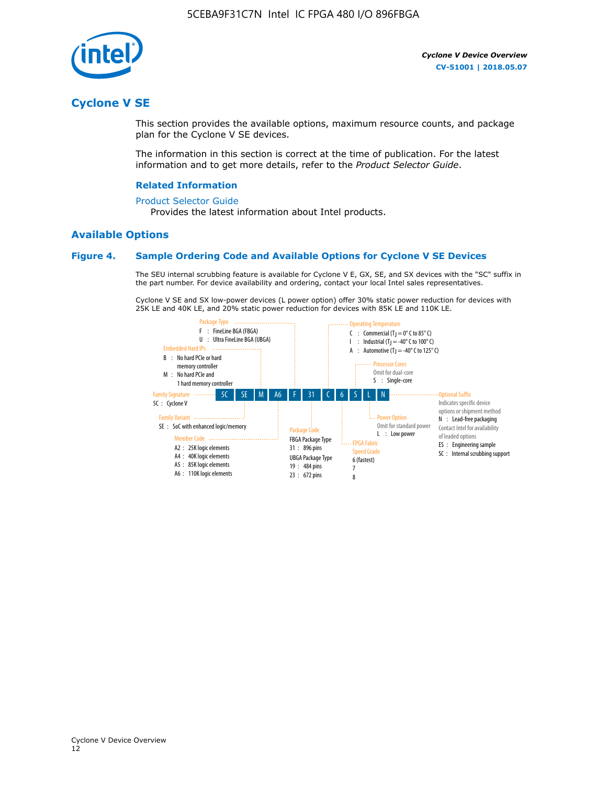

## **Cyclone V SE**

This section provides the available options, maximum resource counts, and package plan for the Cyclone V SE devices.

The information in this section is correct at the time of publication. For the latest information and to get more details, refer to the *Product Selector Guide*.

#### **Related Information**

#### [Product Selector Guide](https://www.altera.com/products/product-selector-guide.html)

Provides the latest information about Intel products.

#### **Available Options**

#### **Figure 4. Sample Ordering Code and Available Options for Cyclone V SE Devices**

The SEU internal scrubbing feature is available for Cyclone V E, GX, SE, and SX devices with the "SC" suffix in the part number. For device availability and ordering, contact your local Intel sales representatives.

Cyclone V SE and SX low-power devices (L power option) offer 30% static power reduction for devices with 25K LE and 40K LE, and 20% static power reduction for devices with 85K LE and 110K LE.

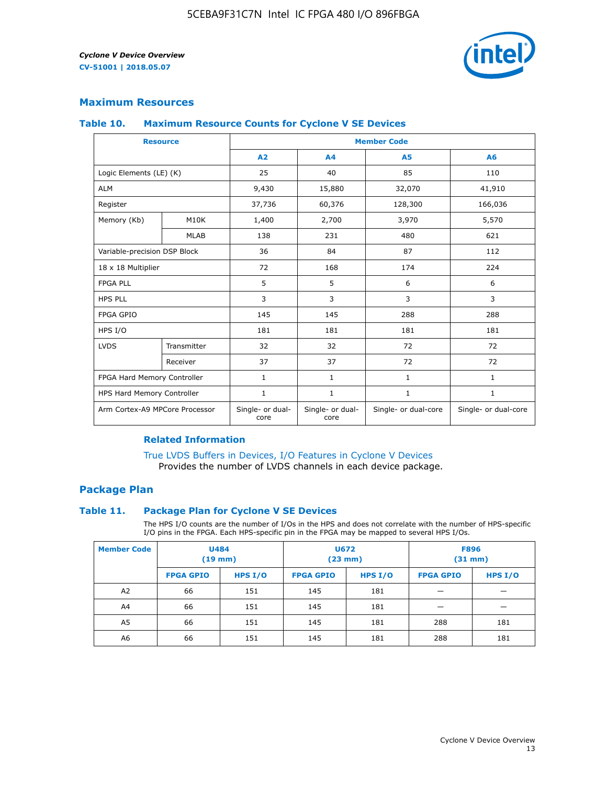

#### **Maximum Resources**

#### **Table 10. Maximum Resource Counts for Cyclone V SE Devices**

|                                | <b>Resource</b> | <b>Member Code</b>       |                          |                      |                      |  |
|--------------------------------|-----------------|--------------------------|--------------------------|----------------------|----------------------|--|
|                                |                 | A <sub>2</sub>           | A <sub>4</sub>           | <b>A5</b>            | A6                   |  |
| Logic Elements (LE) (K)        |                 | 25                       | 40                       | 85                   | 110                  |  |
| <b>ALM</b>                     |                 | 9,430                    | 15,880                   | 32,070               | 41,910               |  |
| Register                       |                 | 37,736                   | 60,376                   | 128,300              | 166,036              |  |
| Memory (Kb)                    | M10K            | 1,400                    | 2,700                    | 3,970                | 5,570                |  |
|                                | <b>MLAB</b>     | 138                      | 231                      | 480                  | 621                  |  |
| Variable-precision DSP Block   |                 | 36                       | 84                       | 87                   | 112                  |  |
| 18 x 18 Multiplier             |                 | 72                       | 168                      | 174                  | 224                  |  |
| <b>FPGA PLL</b>                |                 | 5                        | 5                        | 6                    | 6                    |  |
| <b>HPS PLL</b>                 |                 | 3                        | 3                        | 3                    | 3                    |  |
| <b>FPGA GPIO</b>               |                 | 145                      | 145                      | 288                  | 288                  |  |
| HPS I/O                        |                 | 181                      | 181                      | 181                  | 181                  |  |
| <b>LVDS</b>                    | Transmitter     | 32                       | 32                       | 72                   | 72                   |  |
|                                | Receiver        | 37                       | 37                       | 72                   | 72                   |  |
| FPGA Hard Memory Controller    |                 | 1                        | $\mathbf{1}$             | $\mathbf{1}$         | $\mathbf{1}$         |  |
| HPS Hard Memory Controller     |                 | $\mathbf{1}$             | $\mathbf{1}$             | $\mathbf{1}$         | $\mathbf{1}$         |  |
| Arm Cortex-A9 MPCore Processor |                 | Single- or dual-<br>core | Single- or dual-<br>core | Single- or dual-core | Single- or dual-core |  |

#### **Related Information**

[True LVDS Buffers in Devices, I/O Features in Cyclone V Devices](https://www.altera.com/documentation/sam1403481100977.html#sam1403480885395) Provides the number of LVDS channels in each device package.

#### **Package Plan**

#### **Table 11. Package Plan for Cyclone V SE Devices**

The HPS I/O counts are the number of I/Os in the HPS and does not correlate with the number of HPS-specific I/O pins in the FPGA. Each HPS-specific pin in the FPGA may be mapped to several HPS I/Os.

| <b>Member Code</b> | <b>U484</b><br>$(19$ mm) |           | <b>U672</b><br>(23 mm) |         | <b>F896</b><br>$(31$ mm $)$ |           |
|--------------------|--------------------------|-----------|------------------------|---------|-----------------------------|-----------|
|                    | <b>FPGA GPIO</b>         | HPS $I/O$ | <b>FPGA GPIO</b>       | HPS I/O | <b>FPGA GPIO</b>            | HPS $I/O$ |
| A <sub>2</sub>     | 66                       | 151       | 145                    | 181     |                             |           |
| A4                 | 66                       | 151       | 145                    | 181     |                             |           |
| A <sub>5</sub>     | 66                       | 151       | 145                    | 181     | 288                         | 181       |
| A6                 | 66                       | 151       | 145                    | 181     | 288                         | 181       |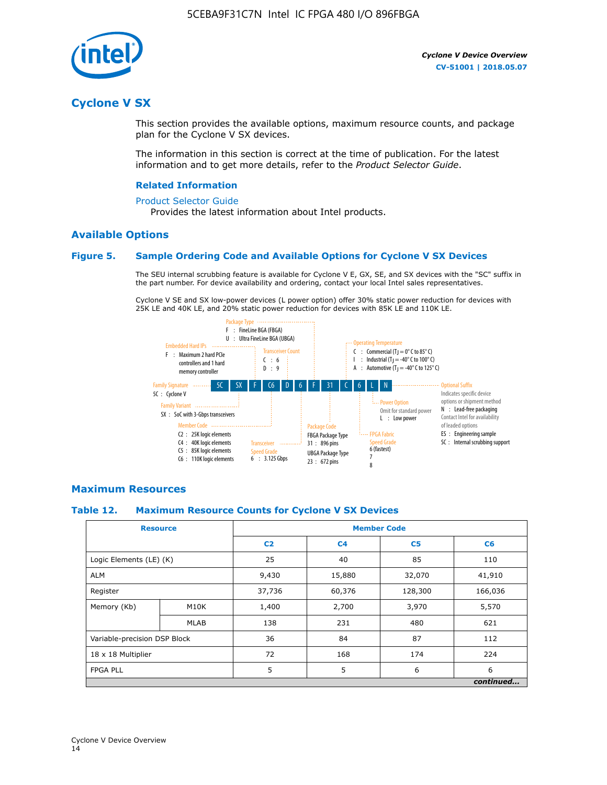

## **Cyclone V SX**

This section provides the available options, maximum resource counts, and package plan for the Cyclone V SX devices.

The information in this section is correct at the time of publication. For the latest information and to get more details, refer to the *Product Selector Guide*.

#### **Related Information**

#### [Product Selector Guide](https://www.altera.com/products/product-selector-guide.html)

Provides the latest information about Intel products.

#### **Available Options**

#### **Figure 5. Sample Ordering Code and Available Options for Cyclone V SX Devices**

The SEU internal scrubbing feature is available for Cyclone V E, GX, SE, and SX devices with the "SC" suffix in the part number. For device availability and ordering, contact your local Intel sales representatives.

Cyclone V SE and SX low-power devices (L power option) offer 30% static power reduction for devices with 25K LE and 40K LE, and 20% static power reduction for devices with 85K LE and 110K LE.



#### **Maximum Resources**

#### **Table 12. Maximum Resource Counts for Cyclone V SX Devices**

|                              | <b>Resource</b> | <b>Member Code</b> |                |                |           |  |
|------------------------------|-----------------|--------------------|----------------|----------------|-----------|--|
|                              |                 | C <sub>2</sub>     | C <sub>4</sub> | C <sub>5</sub> | C6        |  |
| Logic Elements (LE) (K)      |                 | 25                 | 40             | 85             | 110       |  |
| <b>ALM</b>                   |                 | 9,430              | 15,880         | 32,070         | 41,910    |  |
| Register                     |                 | 37,736             | 60,376         | 128,300        | 166,036   |  |
| Memory (Kb)                  | M10K            | 1,400              | 2,700          | 3,970          | 5,570     |  |
|                              | <b>MLAB</b>     | 138                | 231            | 480            | 621       |  |
| Variable-precision DSP Block |                 | 36                 | 84             | 87             | 112       |  |
| 18 x 18 Multiplier           |                 | 72                 | 168            | 174            | 224       |  |
| <b>FPGA PLL</b>              |                 | 5                  | 5              | 6              | 6         |  |
|                              |                 |                    |                |                | continued |  |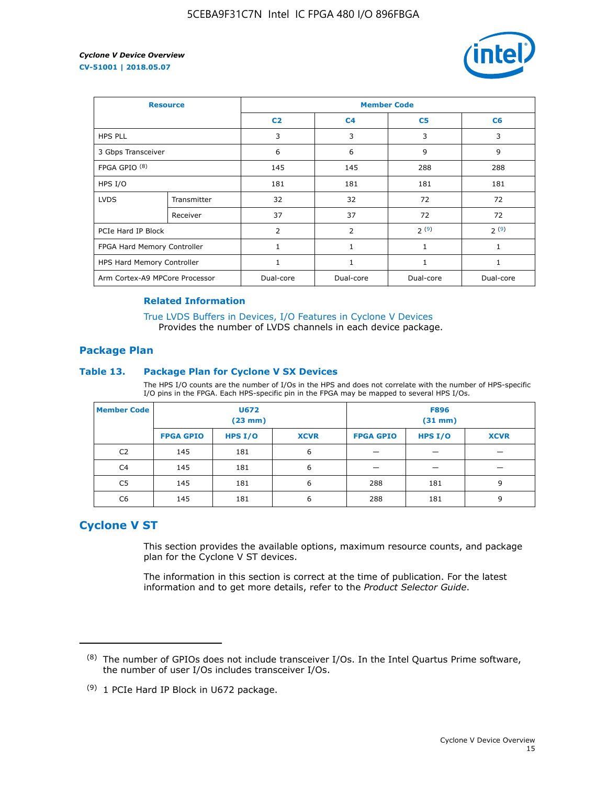

| <b>Resource</b>                |             | <b>Member Code</b> |                |                |              |  |  |
|--------------------------------|-------------|--------------------|----------------|----------------|--------------|--|--|
|                                |             | C <sub>2</sub>     | C <sub>4</sub> | C <sub>5</sub> | C6           |  |  |
| <b>HPS PLL</b>                 |             | 3                  | 3              | 3              | 3            |  |  |
| 3 Gbps Transceiver             |             | 6                  | 6              | 9              | 9            |  |  |
| FPGA GPIO <sup>(8)</sup>       |             | 145                | 145            | 288            | 288          |  |  |
| HPS I/O                        |             | 181                | 181            | 181            | 181          |  |  |
| <b>LVDS</b>                    | Transmitter | 32                 | 32             | 72             | 72           |  |  |
|                                | Receiver    | 37                 | 37             | 72             | 72           |  |  |
| PCIe Hard IP Block             |             | $\overline{2}$     | $\overline{2}$ | 2(9)           | 2(9)         |  |  |
| FPGA Hard Memory Controller    |             | 1                  | $\mathbf{1}$   | 1              | $\mathbf{1}$ |  |  |
| HPS Hard Memory Controller     |             | 1                  | $\mathbf{1}$   | 1              | 1            |  |  |
| Arm Cortex-A9 MPCore Processor |             | Dual-core          | Dual-core      | Dual-core      | Dual-core    |  |  |

#### **Related Information**

[True LVDS Buffers in Devices, I/O Features in Cyclone V Devices](https://www.altera.com/documentation/sam1403481100977.html#sam1403480885395) Provides the number of LVDS channels in each device package.

#### **Package Plan**

#### **Table 13. Package Plan for Cyclone V SX Devices**

The HPS I/O counts are the number of I/Os in the HPS and does not correlate with the number of HPS-specific I/O pins in the FPGA. Each HPS-specific pin in the FPGA may be mapped to several HPS I/Os.

| <b>Member Code</b> | U672<br>(23 mm)  |           | <b>F896</b><br>$(31$ mm $)$ |                  |           |             |
|--------------------|------------------|-----------|-----------------------------|------------------|-----------|-------------|
|                    | <b>FPGA GPIO</b> | HPS $I/O$ | <b>XCVR</b>                 | <b>FPGA GPIO</b> | HPS $I/O$ | <b>XCVR</b> |
| C <sub>2</sub>     | 145              | 181       | 6                           |                  |           |             |
| C <sub>4</sub>     | 145              | 181       | 6                           |                  |           |             |
| C5                 | 145              | 181       | 6                           | 288              | 181       | 9           |
| C6                 | 145              | 181       | 6                           | 288              | 181       | 9           |

## **Cyclone V ST**

This section provides the available options, maximum resource counts, and package plan for the Cyclone V ST devices.

The information in this section is correct at the time of publication. For the latest information and to get more details, refer to the *Product Selector Guide*.

 $(8)$  The number of GPIOs does not include transceiver I/Os. In the Intel Quartus Prime software, the number of user I/Os includes transceiver I/Os.

<sup>(9)</sup> 1 PCIe Hard IP Block in U672 package.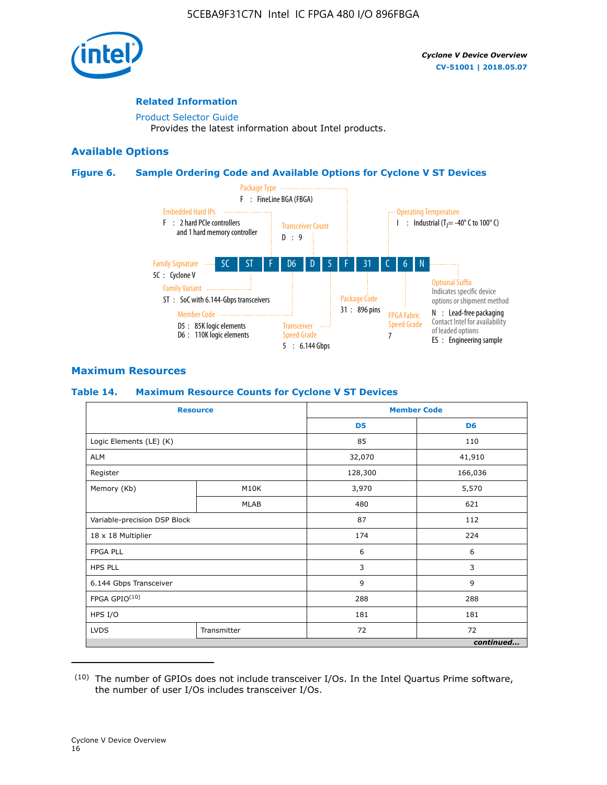

#### **Related Information**

[Product Selector Guide](https://www.altera.com/products/product-selector-guide.html) Provides the latest information about Intel products.

#### **Available Options**

#### **Figure 6. Sample Ordering Code and Available Options for Cyclone V ST Devices**



## **Maximum Resources**

#### **Table 14. Maximum Resource Counts for Cyclone V ST Devices**

| <b>Resource</b>              |             |                | <b>Member Code</b> |
|------------------------------|-------------|----------------|--------------------|
|                              |             | D <sub>5</sub> | D <sub>6</sub>     |
| Logic Elements (LE) (K)      |             | 85             | 110                |
| <b>ALM</b>                   |             | 32,070         | 41,910             |
| Register                     |             | 128,300        | 166,036            |
| Memory (Kb)                  | M10K        | 3,970          | 5,570              |
|                              | <b>MLAB</b> | 480            | 621                |
| Variable-precision DSP Block |             | 87             | 112                |
| 18 x 18 Multiplier           |             | 174            | 224                |
| <b>FPGA PLL</b>              |             | 6              | 6                  |
| <b>HPS PLL</b>               |             | 3              | 3                  |
| 6.144 Gbps Transceiver       |             | 9              | 9                  |
| FPGA GPIO(10)                |             | 288            | 288                |
| HPS I/O                      |             | 181            | 181                |
| <b>LVDS</b><br>Transmitter   |             | 72             | 72                 |
|                              |             |                | continued          |

<sup>(10)</sup> The number of GPIOs does not include transceiver I/Os. In the Intel Quartus Prime software, the number of user I/Os includes transceiver I/Os.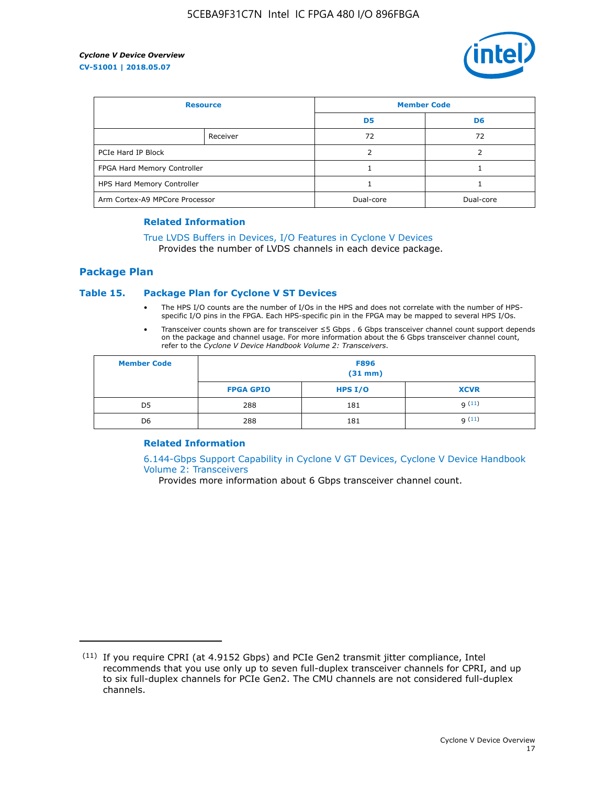

| <b>Resource</b>                |          | <b>Member Code</b> |                |  |
|--------------------------------|----------|--------------------|----------------|--|
|                                |          | D <sub>5</sub>     | D <sub>6</sub> |  |
|                                | Receiver | 72                 | 72             |  |
| PCIe Hard IP Block             |          |                    |                |  |
| FPGA Hard Memory Controller    |          |                    |                |  |
| HPS Hard Memory Controller     |          |                    |                |  |
| Arm Cortex-A9 MPCore Processor |          | Dual-core          | Dual-core      |  |

#### **Related Information**

## [True LVDS Buffers in Devices, I/O Features in Cyclone V Devices](https://www.altera.com/documentation/sam1403481100977.html#sam1403480885395)

Provides the number of LVDS channels in each device package.

#### **Package Plan**

#### **Table 15. Package Plan for Cyclone V ST Devices**

- The HPS I/O counts are the number of I/Os in the HPS and does not correlate with the number of HPSspecific I/O pins in the FPGA. Each HPS-specific pin in the FPGA may be mapped to several HPS I/Os.
- Transceiver counts shown are for transceiver ≤5 Gbps . 6 Gbps transceiver channel count support depends on the package and channel usage. For more information about the 6 Gbps transceiver channel count, refer to the *Cyclone V Device Handbook Volume 2: Transceivers*.

| <b>Member Code</b> | <b>F896</b><br>$(31$ mm $)$ |           |             |  |  |
|--------------------|-----------------------------|-----------|-------------|--|--|
|                    | <b>FPGA GPIO</b>            | HPS $I/O$ | <b>XCVR</b> |  |  |
| D <sub>5</sub>     | 288                         | 181       | 9(11)       |  |  |
| D <sub>6</sub>     | 288                         | 181       | q(11)       |  |  |

#### **Related Information**

[6.144-Gbps Support Capability in Cyclone V GT Devices, Cyclone V Device Handbook](https://www.altera.com/documentation/nik1409855456781.html#nik1409855410757) [Volume 2: Transceivers](https://www.altera.com/documentation/nik1409855456781.html#nik1409855410757)

Provides more information about 6 Gbps transceiver channel count.

<sup>(11)</sup> If you require CPRI (at 4.9152 Gbps) and PCIe Gen2 transmit jitter compliance, Intel recommends that you use only up to seven full-duplex transceiver channels for CPRI, and up to six full-duplex channels for PCIe Gen2. The CMU channels are not considered full-duplex channels.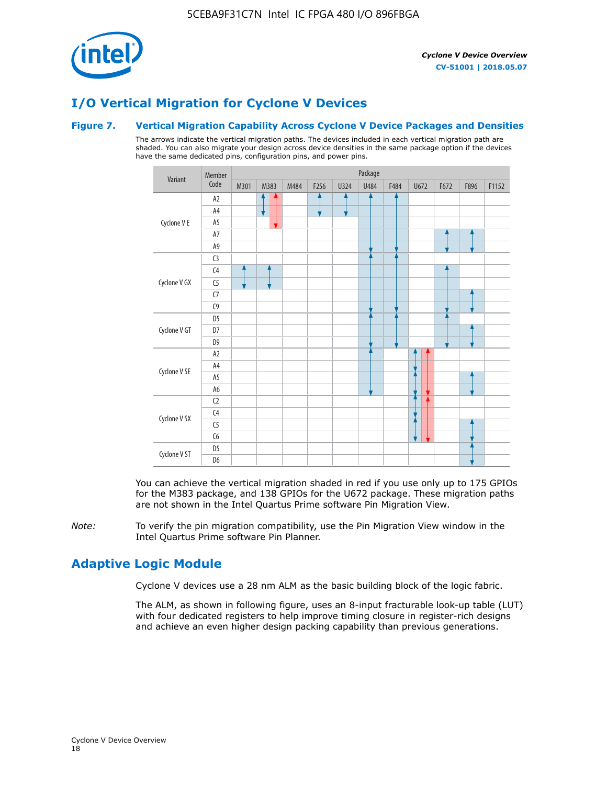

## **I/O Vertical Migration for Cyclone V Devices**

#### **Figure 7. Vertical Migration Capability Across Cyclone V Device Packages and Densities**

The arrows indicate the vertical migration paths. The devices included in each vertical migration path are shaded. You can also migrate your design across device densities in the same package option if the devices have the same dedicated pins, configuration pins, and power pins.



You can achieve the vertical migration shaded in red if you use only up to 175 GPIOs for the M383 package, and 138 GPIOs for the U672 package. These migration paths are not shown in the Intel Quartus Prime software Pin Migration View.

*Note:* To verify the pin migration compatibility, use the Pin Migration View window in the Intel Quartus Prime software Pin Planner.

## **Adaptive Logic Module**

Cyclone V devices use a 28 nm ALM as the basic building block of the logic fabric.

The ALM, as shown in following figure, uses an 8-input fracturable look-up table (LUT) with four dedicated registers to help improve timing closure in register-rich designs and achieve an even higher design packing capability than previous generations.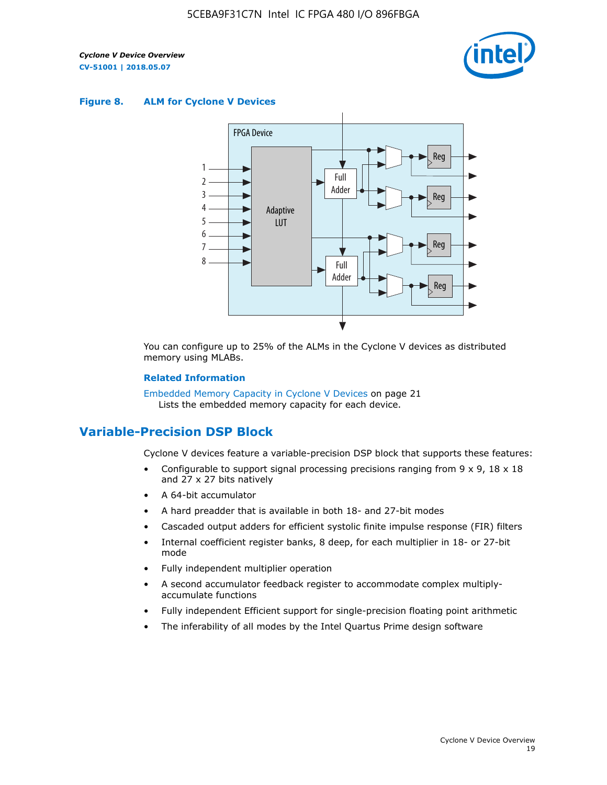

#### **Figure 8. ALM for Cyclone V Devices**



You can configure up to 25% of the ALMs in the Cyclone V devices as distributed memory using MLABs.

#### **Related Information**

Embedded Memory Capacity in Cyclone V Devices on page 21 Lists the embedded memory capacity for each device.

## **Variable-Precision DSP Block**

Cyclone V devices feature a variable-precision DSP block that supports these features:

- Configurable to support signal processing precisions ranging from  $9 \times 9$ ,  $18 \times 18$ and 27 x 27 bits natively
- A 64-bit accumulator
- A hard preadder that is available in both 18- and 27-bit modes
- Cascaded output adders for efficient systolic finite impulse response (FIR) filters
- Internal coefficient register banks, 8 deep, for each multiplier in 18- or 27-bit mode
- Fully independent multiplier operation
- A second accumulator feedback register to accommodate complex multiplyaccumulate functions
- Fully independent Efficient support for single-precision floating point arithmetic
- The inferability of all modes by the Intel Quartus Prime design software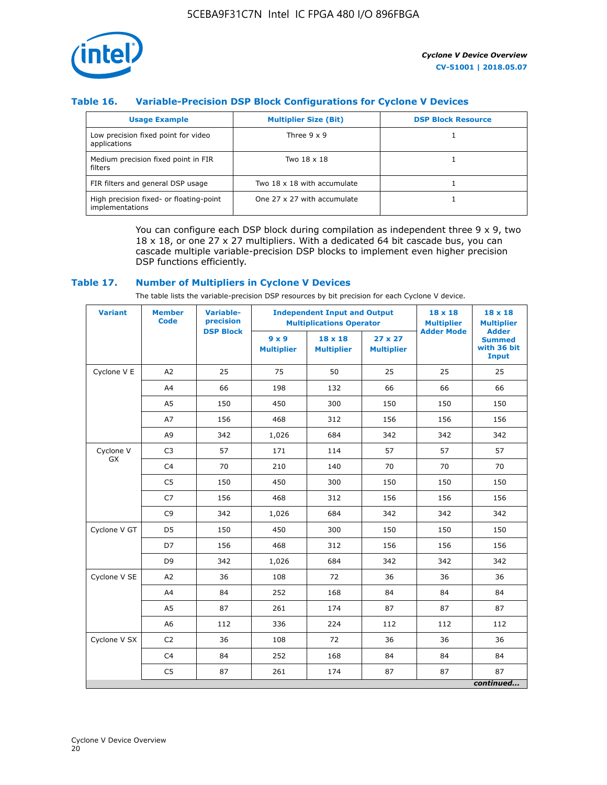

### **Table 16. Variable-Precision DSP Block Configurations for Cyclone V Devices**

| <b>Usage Example</b>                                       | <b>Multiplier Size (Bit)</b> | <b>DSP Block Resource</b> |
|------------------------------------------------------------|------------------------------|---------------------------|
| Low precision fixed point for video<br>applications        | Three $9 \times 9$           |                           |
| Medium precision fixed point in FIR<br>filters             | Two 18 x 18                  |                           |
| FIR filters and general DSP usage                          | Two 18 x 18 with accumulate  |                           |
| High precision fixed- or floating-point<br>implementations | One 27 x 27 with accumulate  |                           |

You can configure each DSP block during compilation as independent three  $9 \times 9$ , two 18 x 18, or one 27 x 27 multipliers. With a dedicated 64 bit cascade bus, you can cascade multiple variable-precision DSP blocks to implement even higher precision DSP functions efficiently.

#### **Table 17. Number of Multipliers in Cyclone V Devices**

The table lists the variable-precision DSP resources by bit precision for each Cyclone V device.

| <b>Variant</b>  | <b>Member</b><br>Code | <b>Variable-</b><br>precision | <b>Independent Input and Output</b><br><b>Multiplications Operator</b> |                                     |                                     | 18 x 18<br><b>Multiplier</b> | $18 \times 18$<br><b>Multiplier</b>                          |
|-----------------|-----------------------|-------------------------------|------------------------------------------------------------------------|-------------------------------------|-------------------------------------|------------------------------|--------------------------------------------------------------|
|                 |                       | <b>DSP Block</b>              | $9 \times 9$<br><b>Multiplier</b>                                      | $18 \times 18$<br><b>Multiplier</b> | $27 \times 27$<br><b>Multiplier</b> | <b>Adder Mode</b>            | <b>Adder</b><br><b>Summed</b><br>with 36 bit<br><b>Input</b> |
| Cyclone V E     | A2                    | 25                            | 75                                                                     | 50                                  | 25                                  | 25                           | 25                                                           |
|                 | A4                    | 66                            | 198                                                                    | 132                                 | 66                                  | 66                           | 66                                                           |
|                 | A <sub>5</sub>        | 150                           | 450                                                                    | 300                                 | 150                                 | 150                          | 150                                                          |
|                 | A7                    | 156                           | 468                                                                    | 312                                 | 156                                 | 156                          | 156                                                          |
|                 | A9                    | 342                           | 1,026                                                                  | 684                                 | 342                                 | 342                          | 342                                                          |
| Cyclone V<br>GX | C <sub>3</sub>        | 57                            | 171                                                                    | 114                                 | 57                                  | 57                           | 57                                                           |
|                 | C <sub>4</sub>        | 70                            | 210                                                                    | 140                                 | 70                                  | 70                           | 70                                                           |
|                 | C <sub>5</sub>        | 150                           | 450                                                                    | 300                                 | 150                                 | 150                          | 150                                                          |
|                 | C7                    | 156                           | 468                                                                    | 312                                 | 156                                 | 156                          | 156                                                          |
|                 | C <sub>9</sub>        | 342                           | 1,026                                                                  | 684                                 | 342                                 | 342                          | 342                                                          |
| Cyclone V GT    | D <sub>5</sub>        | 150                           | 450                                                                    | 300                                 | 150                                 | 150                          | 150                                                          |
|                 | D7                    | 156                           | 468                                                                    | 312                                 | 156                                 | 156                          | 156                                                          |
|                 | D <sub>9</sub>        | 342                           | 1,026                                                                  | 684                                 | 342                                 | 342                          | 342                                                          |
| Cyclone V SE    | A <sub>2</sub>        | 36                            | 108                                                                    | 72                                  | 36                                  | 36                           | 36                                                           |
|                 | A4                    | 84                            | 252                                                                    | 168                                 | 84                                  | 84                           | 84                                                           |
|                 | A5                    | 87                            | 261                                                                    | 174                                 | 87                                  | 87                           | 87                                                           |
|                 | A <sub>6</sub>        | 112                           | 336                                                                    | 224                                 | 112                                 | 112                          | 112                                                          |
| Cyclone V SX    | C <sub>2</sub>        | 36                            | 108                                                                    | 72                                  | 36                                  | 36                           | 36                                                           |
|                 | C <sub>4</sub>        | 84                            | 252                                                                    | 168                                 | 84                                  | 84                           | 84                                                           |
|                 | C <sub>5</sub>        | 87                            | 261                                                                    | 174                                 | 87                                  | 87                           | 87                                                           |
|                 |                       |                               |                                                                        |                                     |                                     |                              | continued                                                    |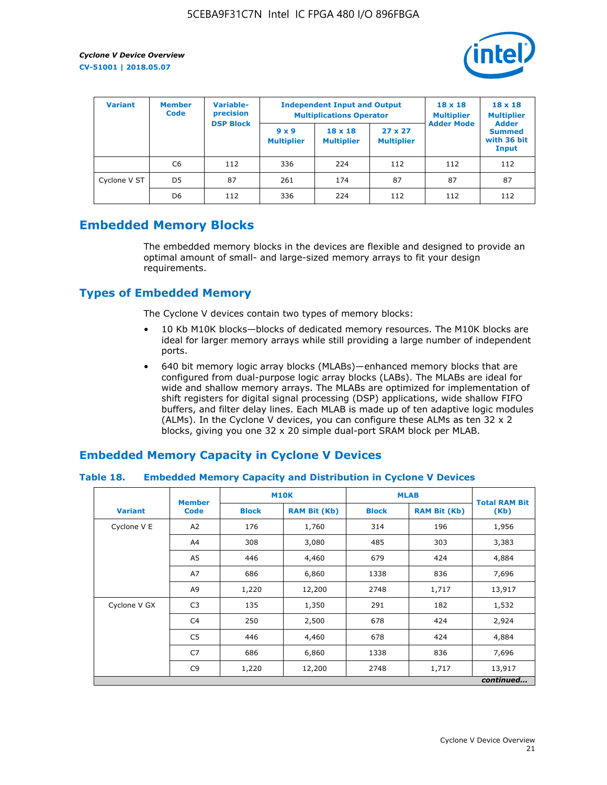

| <b>Variant</b> | <b>Variable-</b><br><b>Member</b><br>precision<br><b>Code</b> |                  |                                   | <b>Independent Input and Output</b><br><b>Multiplications Operator</b> | $18 \times 18$<br><b>Multiplier</b> | $18 \times 18$<br><b>Multiplier</b><br><b>Adder</b> |                                       |
|----------------|---------------------------------------------------------------|------------------|-----------------------------------|------------------------------------------------------------------------|-------------------------------------|-----------------------------------------------------|---------------------------------------|
|                |                                                               | <b>DSP Block</b> | $9 \times 9$<br><b>Multiplier</b> | $18 \times 18$<br><b>Multiplier</b>                                    | $27 \times 27$<br><b>Multiplier</b> | <b>Adder Mode</b>                                   | <b>Summed</b><br>with 36 bit<br>Input |
|                | C6                                                            | 112              | 336                               | 224                                                                    | 112                                 | 112                                                 | 112                                   |
| Cyclone V ST   | D <sub>5</sub>                                                | 87               | 261                               | 174                                                                    | 87                                  | 87                                                  | 87                                    |
|                | D <sub>6</sub>                                                | 112              | 336                               | 224                                                                    | 112                                 | 112                                                 | 112                                   |

## **Embedded Memory Blocks**

The embedded memory blocks in the devices are flexible and designed to provide an optimal amount of small- and large-sized memory arrays to fit your design requirements.

## **Types of Embedded Memory**

The Cyclone V devices contain two types of memory blocks:

- 10 Kb M10K blocks—blocks of dedicated memory resources. The M10K blocks are ideal for larger memory arrays while still providing a large number of independent ports.
- 640 bit memory logic array blocks (MLABs)—enhanced memory blocks that are configured from dual-purpose logic array blocks (LABs). The MLABs are ideal for wide and shallow memory arrays. The MLABs are optimized for implementation of shift registers for digital signal processing (DSP) applications, wide shallow FIFO buffers, and filter delay lines. Each MLAB is made up of ten adaptive logic modules (ALMs). In the Cyclone V devices, you can configure these ALMs as ten 32 x 2 blocks, giving you one 32 x 20 simple dual-port SRAM block per MLAB.

## **Embedded Memory Capacity in Cyclone V Devices**

#### **Table 18. Embedded Memory Capacity and Distribution in Cyclone V Devices**

|                | <b>Member</b>  | <b>M10K</b>  |                     | <b>MLAB</b>  | <b>Total RAM Bit</b> |        |  |  |  |
|----------------|----------------|--------------|---------------------|--------------|----------------------|--------|--|--|--|
| <b>Variant</b> | <b>Code</b>    | <b>Block</b> | <b>RAM Bit (Kb)</b> | <b>Block</b> | <b>RAM Bit (Kb)</b>  | (Kb)   |  |  |  |
| Cyclone V E    | A2             | 176          | 1,760               | 314          | 196                  | 1,956  |  |  |  |
|                | A4             | 308          | 3,080               | 485          | 303                  | 3,383  |  |  |  |
|                | A5             | 446          | 4,460               | 679          | 424                  | 4,884  |  |  |  |
|                | A7             | 686          | 6,860               | 1338         | 836                  | 7,696  |  |  |  |
|                | A9             | 1,220        | 12,200              | 2748         | 1,717                | 13,917 |  |  |  |
| Cyclone V GX   | C <sub>3</sub> | 135          | 1,350               | 291          | 182                  | 1,532  |  |  |  |
|                | C4             | 250          | 2,500               | 678          | 424                  | 2,924  |  |  |  |
|                | C5             | 446          | 4,460               | 678          | 424                  | 4,884  |  |  |  |
|                | C7             | 686          | 6,860               | 1338         | 836                  | 7,696  |  |  |  |
|                | C <sub>9</sub> | 1,220        | 12,200              | 2748         | 1,717                | 13,917 |  |  |  |
|                | continued      |              |                     |              |                      |        |  |  |  |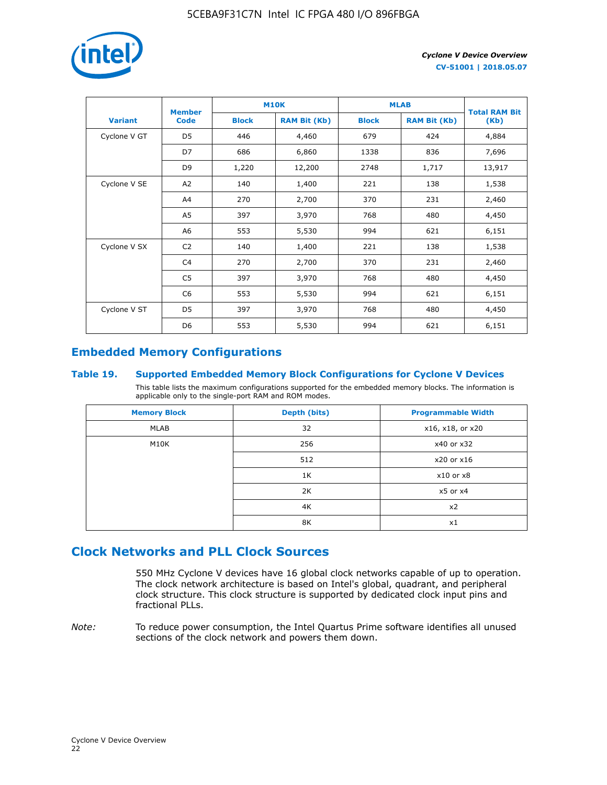

|                | <b>Member</b>  | <b>M10K</b>                         |        | <b>MLAB</b>  | <b>Total RAM Bit</b> |        |
|----------------|----------------|-------------------------------------|--------|--------------|----------------------|--------|
| <b>Variant</b> | Code           | <b>RAM Bit (Kb)</b><br><b>Block</b> |        | <b>Block</b> | <b>RAM Bit (Kb)</b>  | (Kb)   |
| Cyclone V GT   | D <sub>5</sub> | 446                                 | 4,460  | 679          | 424                  | 4,884  |
|                | D7             | 686                                 | 6,860  | 1338         | 836                  | 7,696  |
|                | D <sub>9</sub> | 1,220                               | 12,200 | 2748         | 1,717                | 13,917 |
| Cyclone V SE   | A2             | 140                                 | 1,400  | 221          | 138                  | 1,538  |
|                | A4             | 270                                 | 2,700  | 370          | 231                  | 2,460  |
|                | A5             | 397                                 | 3,970  | 768          | 480                  | 4,450  |
|                | A6             | 553                                 | 5,530  | 994          | 621                  | 6,151  |
| Cyclone V SX   | C <sub>2</sub> | 140                                 | 1,400  | 221          | 138                  | 1,538  |
|                | C <sub>4</sub> | 270                                 | 2,700  | 370          | 231                  | 2,460  |
|                | C5             | 397                                 | 3,970  | 768          | 480                  | 4,450  |
|                | C <sub>6</sub> | 553                                 | 5,530  | 994          | 621                  | 6,151  |
| Cyclone V ST   | D5             | 397                                 | 3,970  | 768          | 480                  | 4,450  |
|                | D <sub>6</sub> | 553                                 | 5,530  | 994          | 621                  | 6,151  |

## **Embedded Memory Configurations**

#### **Table 19. Supported Embedded Memory Block Configurations for Cyclone V Devices**

This table lists the maximum configurations supported for the embedded memory blocks. The information is applicable only to the single-port RAM and ROM modes.

| <b>Memory Block</b> | Depth (bits) | <b>Programmable Width</b> |
|---------------------|--------------|---------------------------|
| MLAB                | 32           | x16, x18, or x20          |
| M10K                | 256          | x40 or x32                |
|                     | 512          | x20 or x16                |
|                     | 1K           | $x10$ or $x8$             |
|                     | 2K           | $x5$ or $x4$              |
|                     | 4K           | x2                        |
|                     | 8K           | x1                        |

## **Clock Networks and PLL Clock Sources**

550 MHz Cyclone V devices have 16 global clock networks capable of up to operation. The clock network architecture is based on Intel's global, quadrant, and peripheral clock structure. This clock structure is supported by dedicated clock input pins and fractional PLLs.

*Note:* To reduce power consumption, the Intel Quartus Prime software identifies all unused sections of the clock network and powers them down.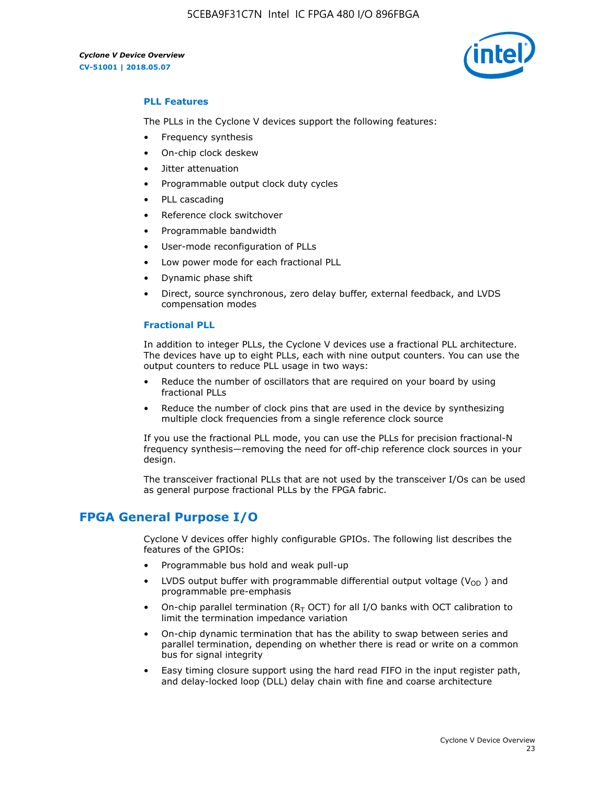5CEBA9F31C7N Intel IC FPGA 480 I/O 896FBGA

*Cyclone V Device Overview* **CV-51001 | 2018.05.07**



#### **PLL Features**

The PLLs in the Cyclone V devices support the following features:

- Frequency synthesis
- On-chip clock deskew
- Jitter attenuation
- Programmable output clock duty cycles
- PLL cascading
- Reference clock switchover
- Programmable bandwidth
- User-mode reconfiguration of PLLs
- Low power mode for each fractional PLL
- Dynamic phase shift
- Direct, source synchronous, zero delay buffer, external feedback, and LVDS compensation modes

#### **Fractional PLL**

In addition to integer PLLs, the Cyclone V devices use a fractional PLL architecture. The devices have up to eight PLLs, each with nine output counters. You can use the output counters to reduce PLL usage in two ways:

- Reduce the number of oscillators that are required on your board by using fractional PLLs
- Reduce the number of clock pins that are used in the device by synthesizing multiple clock frequencies from a single reference clock source

If you use the fractional PLL mode, you can use the PLLs for precision fractional-N frequency synthesis—removing the need for off-chip reference clock sources in your design.

The transceiver fractional PLLs that are not used by the transceiver I/Os can be used as general purpose fractional PLLs by the FPGA fabric.

## **FPGA General Purpose I/O**

Cyclone V devices offer highly configurable GPIOs. The following list describes the features of the GPIOs:

- Programmable bus hold and weak pull-up
- LVDS output buffer with programmable differential output voltage ( $V_{OD}$ ) and programmable pre-emphasis
- On-chip parallel termination ( $R<sub>T</sub>$  OCT) for all I/O banks with OCT calibration to limit the termination impedance variation
- On-chip dynamic termination that has the ability to swap between series and parallel termination, depending on whether there is read or write on a common bus for signal integrity
- Easy timing closure support using the hard read FIFO in the input register path, and delay-locked loop (DLL) delay chain with fine and coarse architecture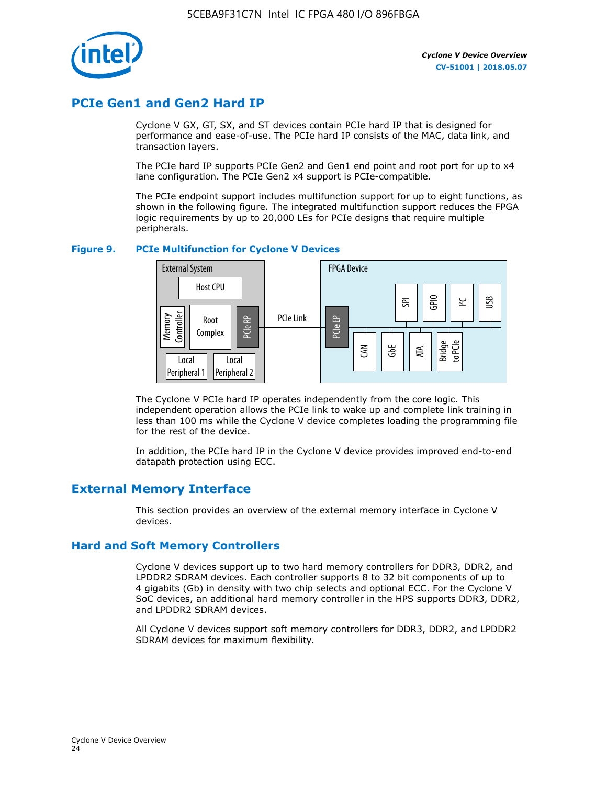

## **PCIe Gen1 and Gen2 Hard IP**

Cyclone V GX, GT, SX, and ST devices contain PCIe hard IP that is designed for performance and ease-of-use. The PCIe hard IP consists of the MAC, data link, and transaction layers.

The PCIe hard IP supports PCIe Gen2 and Gen1 end point and root port for up to x4 lane configuration. The PCIe Gen2 x4 support is PCIe-compatible.

The PCIe endpoint support includes multifunction support for up to eight functions, as shown in the following figure. The integrated multifunction support reduces the FPGA logic requirements by up to 20,000 LEs for PCIe designs that require multiple peripherals.

#### **Figure 9. PCIe Multifunction for Cyclone V Devices**



The Cyclone V PCIe hard IP operates independently from the core logic. This independent operation allows the PCIe link to wake up and complete link training in less than 100 ms while the Cyclone V device completes loading the programming file for the rest of the device.

In addition, the PCIe hard IP in the Cyclone V device provides improved end-to-end datapath protection using ECC.

## **External Memory Interface**

This section provides an overview of the external memory interface in Cyclone V devices.

#### **Hard and Soft Memory Controllers**

Cyclone V devices support up to two hard memory controllers for DDR3, DDR2, and LPDDR2 SDRAM devices. Each controller supports 8 to 32 bit components of up to 4 gigabits (Gb) in density with two chip selects and optional ECC. For the Cyclone V SoC devices, an additional hard memory controller in the HPS supports DDR3, DDR2, and LPDDR2 SDRAM devices.

All Cyclone V devices support soft memory controllers for DDR3, DDR2, and LPDDR2 SDRAM devices for maximum flexibility.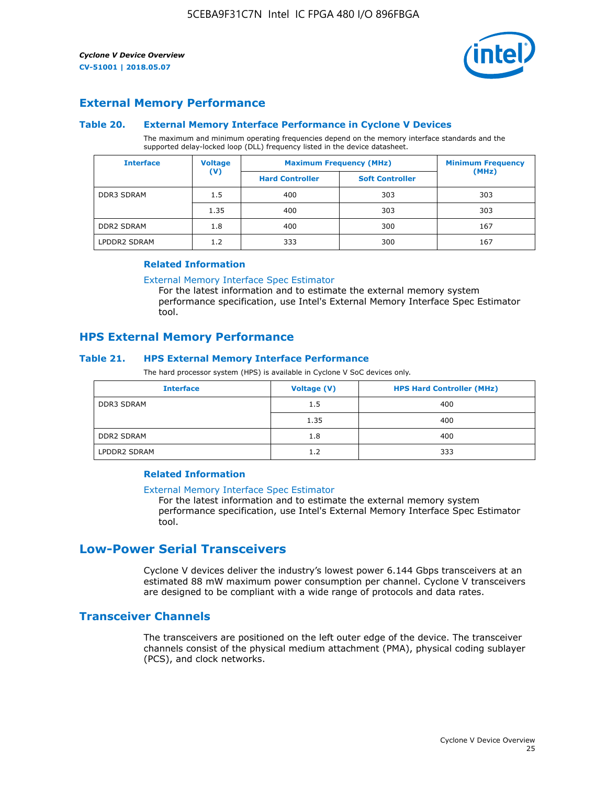

## **External Memory Performance**

#### **Table 20. External Memory Interface Performance in Cyclone V Devices**

The maximum and minimum operating frequencies depend on the memory interface standards and the supported delay-locked loop (DLL) frequency listed in the device datasheet.

| <b>Voltage</b><br><b>Interface</b> |                | <b>Maximum Frequency (MHz)</b> | <b>Minimum Frequency</b> |       |
|------------------------------------|----------------|--------------------------------|--------------------------|-------|
|                                    | $(\mathsf{V})$ | <b>Hard Controller</b>         | <b>Soft Controller</b>   | (MHz) |
| <b>DDR3 SDRAM</b>                  | 1.5            | 400                            | 303                      | 303   |
|                                    | 1.35           | 400                            | 303                      | 303   |
| <b>DDR2 SDRAM</b>                  | 1.8            | 400                            | 300                      | 167   |
| LPDDR2 SDRAM                       | 1.2            | 333                            | 300                      | 167   |

#### **Related Information**

[External Memory Interface Spec Estimator](https://www.altera.com/solutions/technology/external-memory/spec-estimator.html)

For the latest information and to estimate the external memory system performance specification, use Intel's External Memory Interface Spec Estimator tool.

#### **HPS External Memory Performance**

#### **Table 21. HPS External Memory Interface Performance**

The hard processor system (HPS) is available in Cyclone V SoC devices only.

| <b>Interface</b>  | <b>Voltage (V)</b> | <b>HPS Hard Controller (MHz)</b> |
|-------------------|--------------------|----------------------------------|
| DDR3 SDRAM        | 1.5                | 400                              |
|                   | 1.35               | 400                              |
| <b>DDR2 SDRAM</b> | 1.8                | 400                              |
| LPDDR2 SDRAM      | 1.2                | 333                              |

#### **Related Information**

#### [External Memory Interface Spec Estimator](https://www.altera.com/solutions/technology/external-memory/spec-estimator.html)

For the latest information and to estimate the external memory system performance specification, use Intel's External Memory Interface Spec Estimator tool.

## **Low-Power Serial Transceivers**

Cyclone V devices deliver the industry's lowest power 6.144 Gbps transceivers at an estimated 88 mW maximum power consumption per channel. Cyclone V transceivers are designed to be compliant with a wide range of protocols and data rates.

#### **Transceiver Channels**

The transceivers are positioned on the left outer edge of the device. The transceiver channels consist of the physical medium attachment (PMA), physical coding sublayer (PCS), and clock networks.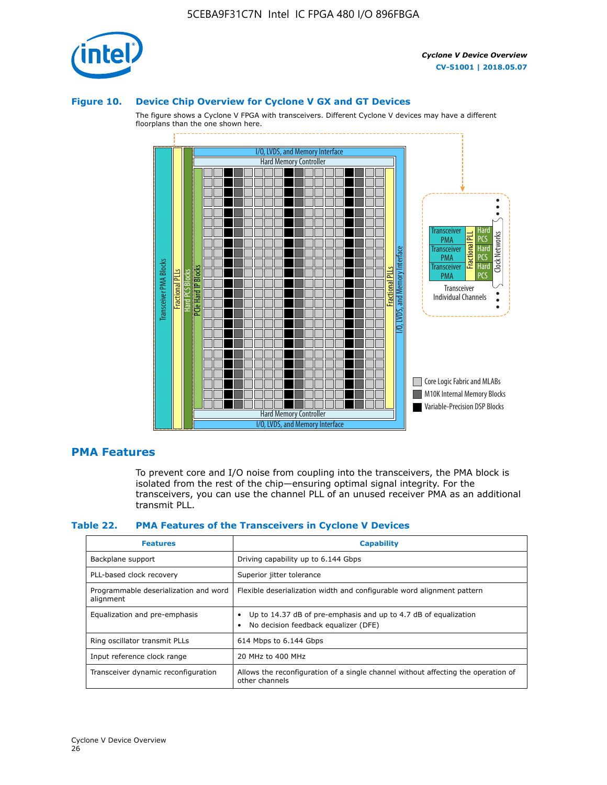

#### **Figure 10. Device Chip Overview for Cyclone V GX and GT Devices**

The figure shows a Cyclone V FPGA with transceivers. Different Cyclone V devices may have a different floorplans than the one shown here.



#### **PMA Features**

To prevent core and I/O noise from coupling into the transceivers, the PMA block is isolated from the rest of the chip—ensuring optimal signal integrity. For the transceivers, you can use the channel PLL of an unused receiver PMA as an additional transmit PLL.

#### **Table 22. PMA Features of the Transceivers in Cyclone V Devices**

| <b>Features</b>                                    | <b>Capability</b>                                                                                       |
|----------------------------------------------------|---------------------------------------------------------------------------------------------------------|
| Backplane support                                  | Driving capability up to 6.144 Gbps                                                                     |
| PLL-based clock recovery                           | Superior jitter tolerance                                                                               |
| Programmable deserialization and word<br>alignment | Flexible deserialization width and configurable word alignment pattern                                  |
| Equalization and pre-emphasis                      | Up to 14.37 dB of pre-emphasis and up to 4.7 dB of equalization<br>No decision feedback equalizer (DFE) |
| Ring oscillator transmit PLLs                      | 614 Mbps to 6.144 Gbps                                                                                  |
| Input reference clock range                        | 20 MHz to 400 MHz                                                                                       |
| Transceiver dynamic reconfiguration                | Allows the reconfiguration of a single channel without affecting the operation of<br>other channels     |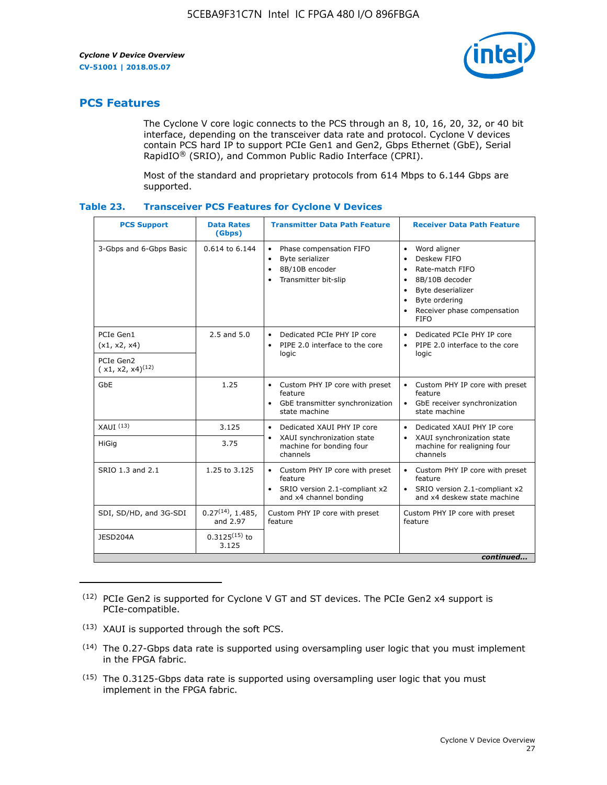

## **PCS Features**

The Cyclone V core logic connects to the PCS through an 8, 10, 16, 20, 32, or 40 bit interface, depending on the transceiver data rate and protocol. Cyclone V devices contain PCS hard IP to support PCIe Gen1 and Gen2, Gbps Ethernet (GbE), Serial RapidIO® (SRIO), and Common Public Radio Interface (CPRI).

Most of the standard and proprietary protocols from 614 Mbps to 6.144 Gbps are supported.

| Table 23. |  | <b>Transceiver PCS Features for Cyclone V Devices</b> |
|-----------|--|-------------------------------------------------------|
|           |  |                                                       |

| <b>PCS Support</b>                 | <b>Data Rates</b><br>(Gbps)        | <b>Transmitter Data Path Feature</b>                                                                         | <b>Receiver Data Path Feature</b>                                                                                                                                                                                                  |  |  |
|------------------------------------|------------------------------------|--------------------------------------------------------------------------------------------------------------|------------------------------------------------------------------------------------------------------------------------------------------------------------------------------------------------------------------------------------|--|--|
| 3-Gbps and 6-Gbps Basic            | 0.614 to 6.144                     | • Phase compensation FIFO<br>Byte serializer<br>8B/10B encoder<br>Transmitter bit-slip                       | Word aligner<br>$\bullet$<br>Deskew FIFO<br>$\bullet$<br>Rate-match FIFO<br>$\bullet$<br>8B/10B decoder<br>$\bullet$<br>Byte deserializer<br>$\bullet$<br>Byte ordering<br>$\bullet$<br>Receiver phase compensation<br><b>FIFO</b> |  |  |
| PCIe Gen1<br>(x1, x2, x4)          | $2.5$ and $5.0$                    | Dedicated PCIe PHY IP core<br>PIPE 2.0 interface to the core<br>$\bullet$<br>logic                           | Dedicated PCIe PHY IP core<br>$\bullet$<br>PIPE 2.0 interface to the core<br>$\bullet$<br>logic                                                                                                                                    |  |  |
| PCIe Gen2<br>$(x1, x2, x4)^{(12)}$ |                                    |                                                                                                              |                                                                                                                                                                                                                                    |  |  |
| GbE                                | 1.25                               | • Custom PHY IP core with preset<br>feature<br>GbE transmitter synchronization<br>$\bullet$<br>state machine | • Custom PHY IP core with preset<br>feature<br>GbE receiver synchronization<br>state machine                                                                                                                                       |  |  |
| $XAUI$ $(13)$                      | 3.125                              | Dedicated XAUI PHY IP core<br>$\bullet$                                                                      | Dedicated XAUI PHY IP core<br>$\bullet$                                                                                                                                                                                            |  |  |
| HiGig                              | 3.75                               | XAUI synchronization state<br>$\bullet$<br>machine for bonding four<br>channels                              | XAUI synchronization state<br>$\bullet$<br>machine for realigning four<br>channels                                                                                                                                                 |  |  |
| SRIO 1.3 and 2.1                   | 1.25 to 3.125                      | • Custom PHY IP core with preset<br>feature<br>• SRIO version 2.1-compliant x2<br>and x4 channel bonding     | • Custom PHY IP core with preset<br>feature<br>• SRIO version 2.1-compliant x2<br>and x4 deskew state machine                                                                                                                      |  |  |
| SDI, SD/HD, and 3G-SDI             | $0.27^{(14)}$ , 1.485,<br>and 2.97 | Custom PHY IP core with preset<br>feature                                                                    | Custom PHY IP core with preset<br>feature                                                                                                                                                                                          |  |  |
| JESD204A                           | $0.3125^{(15)}$ to<br>3.125        |                                                                                                              |                                                                                                                                                                                                                                    |  |  |
| continued                          |                                    |                                                                                                              |                                                                                                                                                                                                                                    |  |  |

<sup>(12)</sup> PCIe Gen2 is supported for Cyclone V GT and ST devices. The PCIe Gen2 x4 support is PCIe-compatible.

<sup>(13)</sup> XAUI is supported through the soft PCS.

<sup>(14)</sup> The 0.27-Gbps data rate is supported using oversampling user logic that you must implement in the FPGA fabric.

<sup>(15)</sup> The 0.3125-Gbps data rate is supported using oversampling user logic that you must implement in the FPGA fabric.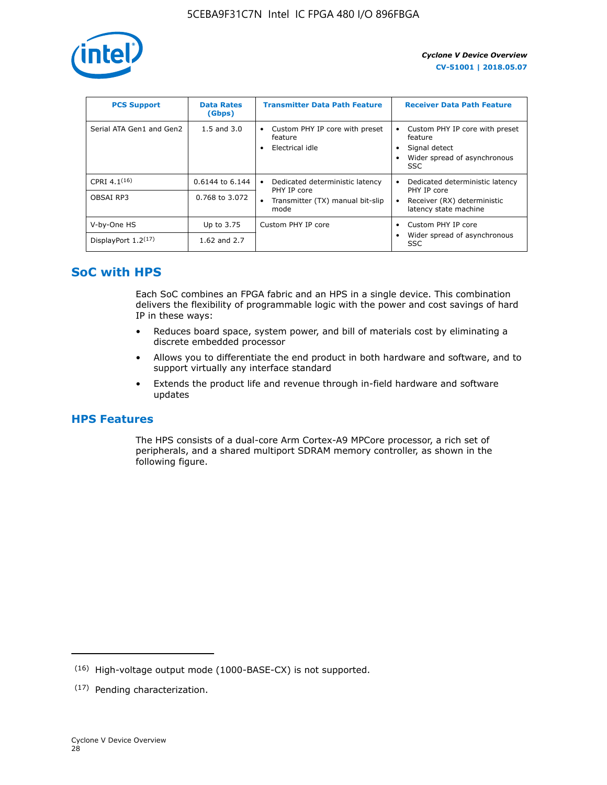

| <b>PCS Support</b>       | <b>Data Rates</b><br>(Gbps) | <b>Transmitter Data Path Feature</b>                         | <b>Receiver Data Path Feature</b>                                                                  |
|--------------------------|-----------------------------|--------------------------------------------------------------|----------------------------------------------------------------------------------------------------|
| Serial ATA Gen1 and Gen2 | $1.5$ and $3.0$             | Custom PHY IP core with preset<br>feature<br>Electrical idle | Custom PHY IP core with preset<br>feature<br>Signal detect<br>Wider spread of asynchronous<br>SSC. |
| CPRI $4.1^{(16)}$        | 0.6144 to 6.144             | Dedicated deterministic latency<br>$\bullet$<br>PHY IP core  | Dedicated deterministic latency<br>PHY IP core                                                     |
| OBSAI RP3                | 0.768 to 3.072              | Transmitter (TX) manual bit-slip<br>mode                     | Receiver (RX) deterministic<br>latency state machine                                               |
| V-by-One HS              | Up to 3.75                  | Custom PHY IP core                                           | Custom PHY IP core                                                                                 |
| DisplayPort $1.2^{(17)}$ | 1.62 and $2.7$              |                                                              | Wider spread of asynchronous<br><b>SSC</b>                                                         |

## **SoC with HPS**

Each SoC combines an FPGA fabric and an HPS in a single device. This combination delivers the flexibility of programmable logic with the power and cost savings of hard IP in these ways:

- Reduces board space, system power, and bill of materials cost by eliminating a discrete embedded processor
- Allows you to differentiate the end product in both hardware and software, and to support virtually any interface standard
- Extends the product life and revenue through in-field hardware and software updates

## **HPS Features**

The HPS consists of a dual-core Arm Cortex-A9 MPCore processor, a rich set of peripherals, and a shared multiport SDRAM memory controller, as shown in the following figure.

<sup>(16)</sup> High-voltage output mode (1000-BASE-CX) is not supported.

<sup>(17)</sup> Pending characterization.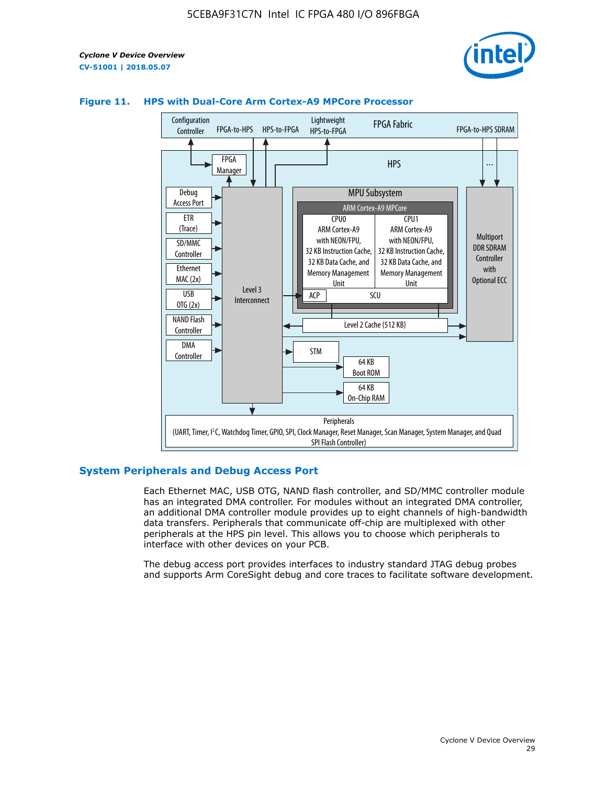



#### **Figure 11. HPS with Dual-Core Arm Cortex-A9 MPCore Processor**

#### **System Peripherals and Debug Access Port**

Each Ethernet MAC, USB OTG, NAND flash controller, and SD/MMC controller module has an integrated DMA controller. For modules without an integrated DMA controller, an additional DMA controller module provides up to eight channels of high-bandwidth data transfers. Peripherals that communicate off-chip are multiplexed with other peripherals at the HPS pin level. This allows you to choose which peripherals to interface with other devices on your PCB.

The debug access port provides interfaces to industry standard JTAG debug probes and supports Arm CoreSight debug and core traces to facilitate software development.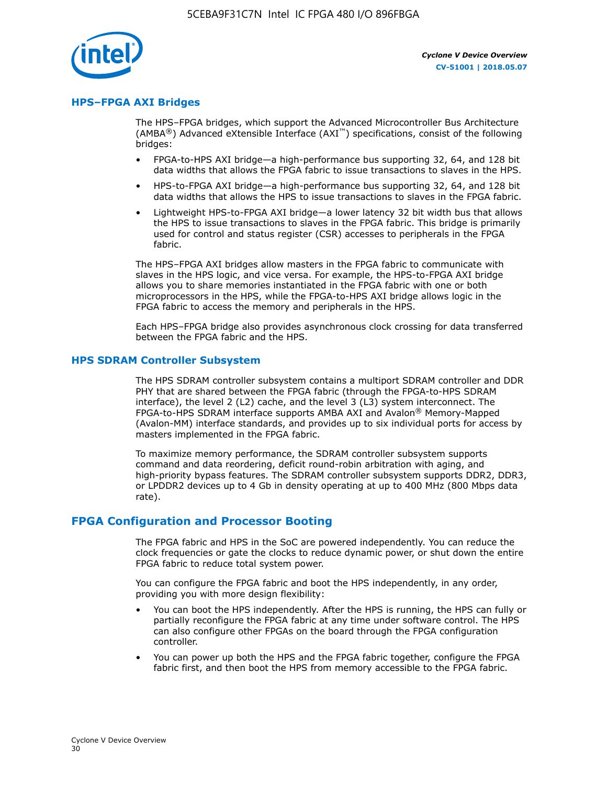

#### **HPS–FPGA AXI Bridges**

The HPS–FPGA bridges, which support the Advanced Microcontroller Bus Architecture (AMBA<sup>®</sup>) Advanced eXtensible Interface (AXI<sup>™</sup>) specifications, consist of the following bridges:

- FPGA-to-HPS AXI bridge—a high-performance bus supporting 32, 64, and 128 bit data widths that allows the FPGA fabric to issue transactions to slaves in the HPS.
- HPS-to-FPGA AXI bridge—a high-performance bus supporting 32, 64, and 128 bit data widths that allows the HPS to issue transactions to slaves in the FPGA fabric.
- Lightweight HPS-to-FPGA AXI bridge—a lower latency 32 bit width bus that allows the HPS to issue transactions to slaves in the FPGA fabric. This bridge is primarily used for control and status register (CSR) accesses to peripherals in the FPGA fabric.

The HPS–FPGA AXI bridges allow masters in the FPGA fabric to communicate with slaves in the HPS logic, and vice versa. For example, the HPS-to-FPGA AXI bridge allows you to share memories instantiated in the FPGA fabric with one or both microprocessors in the HPS, while the FPGA-to-HPS AXI bridge allows logic in the FPGA fabric to access the memory and peripherals in the HPS.

Each HPS–FPGA bridge also provides asynchronous clock crossing for data transferred between the FPGA fabric and the HPS.

#### **HPS SDRAM Controller Subsystem**

The HPS SDRAM controller subsystem contains a multiport SDRAM controller and DDR PHY that are shared between the FPGA fabric (through the FPGA-to-HPS SDRAM interface), the level 2 (L2) cache, and the level 3 (L3) system interconnect. The FPGA-to-HPS SDRAM interface supports AMBA AXI and Avalon® Memory-Mapped (Avalon-MM) interface standards, and provides up to six individual ports for access by masters implemented in the FPGA fabric.

To maximize memory performance, the SDRAM controller subsystem supports command and data reordering, deficit round-robin arbitration with aging, and high-priority bypass features. The SDRAM controller subsystem supports DDR2, DDR3, or LPDDR2 devices up to 4 Gb in density operating at up to 400 MHz (800 Mbps data rate).

#### **FPGA Configuration and Processor Booting**

The FPGA fabric and HPS in the SoC are powered independently. You can reduce the clock frequencies or gate the clocks to reduce dynamic power, or shut down the entire FPGA fabric to reduce total system power.

You can configure the FPGA fabric and boot the HPS independently, in any order, providing you with more design flexibility:

- You can boot the HPS independently. After the HPS is running, the HPS can fully or partially reconfigure the FPGA fabric at any time under software control. The HPS can also configure other FPGAs on the board through the FPGA configuration controller.
- You can power up both the HPS and the FPGA fabric together, configure the FPGA fabric first, and then boot the HPS from memory accessible to the FPGA fabric.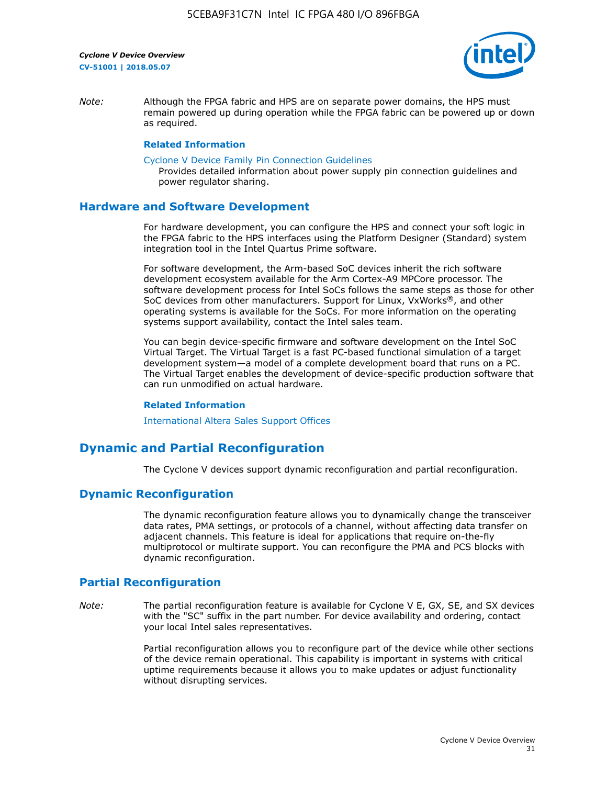

*Note:* Although the FPGA fabric and HPS are on separate power domains, the HPS must remain powered up during operation while the FPGA fabric can be powered up or down as required.

#### **Related Information**

[Cyclone V Device Family Pin Connection Guidelines](https://www.altera.com/content/dam/altera-www/global/en_US/pdfs/literature/dp/cyclone-v/pcg-01014.pdf)

Provides detailed information about power supply pin connection guidelines and power regulator sharing.

#### **Hardware and Software Development**

For hardware development, you can configure the HPS and connect your soft logic in the FPGA fabric to the HPS interfaces using the Platform Designer (Standard) system integration tool in the Intel Quartus Prime software.

For software development, the Arm-based SoC devices inherit the rich software development ecosystem available for the Arm Cortex-A9 MPCore processor. The software development process for Intel SoCs follows the same steps as those for other SoC devices from other manufacturers. Support for Linux, VxWorks®, and other operating systems is available for the SoCs. For more information on the operating systems support availability, contact the Intel sales team.

You can begin device-specific firmware and software development on the Intel SoC Virtual Target. The Virtual Target is a fast PC-based functional simulation of a target development system—a model of a complete development board that runs on a PC. The Virtual Target enables the development of device-specific production software that can run unmodified on actual hardware.

#### **Related Information**

[International Altera Sales Support Offices](https://www.altera.com/about/contact/contact/international-altera-sales-offices.html)

## **Dynamic and Partial Reconfiguration**

The Cyclone V devices support dynamic reconfiguration and partial reconfiguration.

#### **Dynamic Reconfiguration**

The dynamic reconfiguration feature allows you to dynamically change the transceiver data rates, PMA settings, or protocols of a channel, without affecting data transfer on adjacent channels. This feature is ideal for applications that require on-the-fly multiprotocol or multirate support. You can reconfigure the PMA and PCS blocks with dynamic reconfiguration.

## **Partial Reconfiguration**

*Note:* The partial reconfiguration feature is available for Cyclone V E, GX, SE, and SX devices with the "SC" suffix in the part number. For device availability and ordering, contact your local Intel sales representatives.

> Partial reconfiguration allows you to reconfigure part of the device while other sections of the device remain operational. This capability is important in systems with critical uptime requirements because it allows you to make updates or adjust functionality without disrupting services.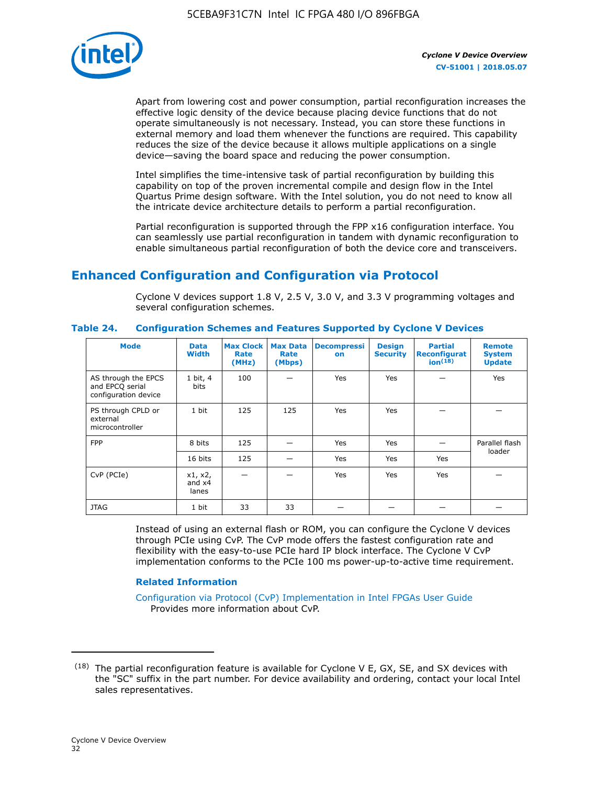

Apart from lowering cost and power consumption, partial reconfiguration increases the effective logic density of the device because placing device functions that do not operate simultaneously is not necessary. Instead, you can store these functions in external memory and load them whenever the functions are required. This capability reduces the size of the device because it allows multiple applications on a single device—saving the board space and reducing the power consumption.

Intel simplifies the time-intensive task of partial reconfiguration by building this capability on top of the proven incremental compile and design flow in the Intel Quartus Prime design software. With the Intel solution, you do not need to know all the intricate device architecture details to perform a partial reconfiguration.

Partial reconfiguration is supported through the FPP x16 configuration interface. You can seamlessly use partial reconfiguration in tandem with dynamic reconfiguration to enable simultaneous partial reconfiguration of both the device core and transceivers.

## **Enhanced Configuration and Configuration via Protocol**

Cyclone V devices support 1.8 V, 2.5 V, 3.0 V, and 3.3 V programming voltages and several configuration schemes.

| <b>Mode</b>                                                    | <b>Data</b><br>Width         | Max Clock  <br>Rate<br>(MHz) | <b>Max Data</b><br>Rate<br>(Mbps) | <b>Decompressi</b><br>on | <b>Design</b><br><b>Security</b> | <b>Partial</b><br>Reconfigurat<br>ion <sup>(18)</sup> | <b>Remote</b><br><b>System</b><br><b>Update</b> |
|----------------------------------------------------------------|------------------------------|------------------------------|-----------------------------------|--------------------------|----------------------------------|-------------------------------------------------------|-------------------------------------------------|
| AS through the EPCS<br>and EPCQ serial<br>configuration device | 1 bit, 4<br>bits             | 100                          |                                   | Yes                      | Yes                              |                                                       | Yes                                             |
| PS through CPLD or<br>external<br>microcontroller              | 1 bit                        | 125                          | 125                               | Yes                      | Yes                              |                                                       |                                                 |
| <b>FPP</b>                                                     | 8 bits                       | 125                          |                                   | Yes                      | Yes                              |                                                       | Parallel flash                                  |
|                                                                | 16 bits                      | 125                          |                                   | Yes                      | Yes                              | Yes                                                   | loader                                          |
| CvP (PCIe)                                                     | x1, x2,<br>and $x4$<br>lanes |                              |                                   | Yes                      | Yes                              | Yes                                                   |                                                 |
| <b>JTAG</b>                                                    | 1 bit                        | 33                           | 33                                |                          |                                  |                                                       |                                                 |

**Table 24. Configuration Schemes and Features Supported by Cyclone V Devices**

Instead of using an external flash or ROM, you can configure the Cyclone V devices through PCIe using CvP. The CvP mode offers the fastest configuration rate and flexibility with the easy-to-use PCIe hard IP block interface. The Cyclone V CvP implementation conforms to the PCIe 100 ms power-up-to-active time requirement.

#### **Related Information**

[Configuration via Protocol \(CvP\) Implementation in Intel FPGAs User Guide](https://www.altera.com/documentation/nik1412546950394.html#nik1412546833714) Provides more information about CvP.

 $(18)$  The partial reconfiguration feature is available for Cyclone V E, GX, SE, and SX devices with the "SC" suffix in the part number. For device availability and ordering, contact your local Intel sales representatives.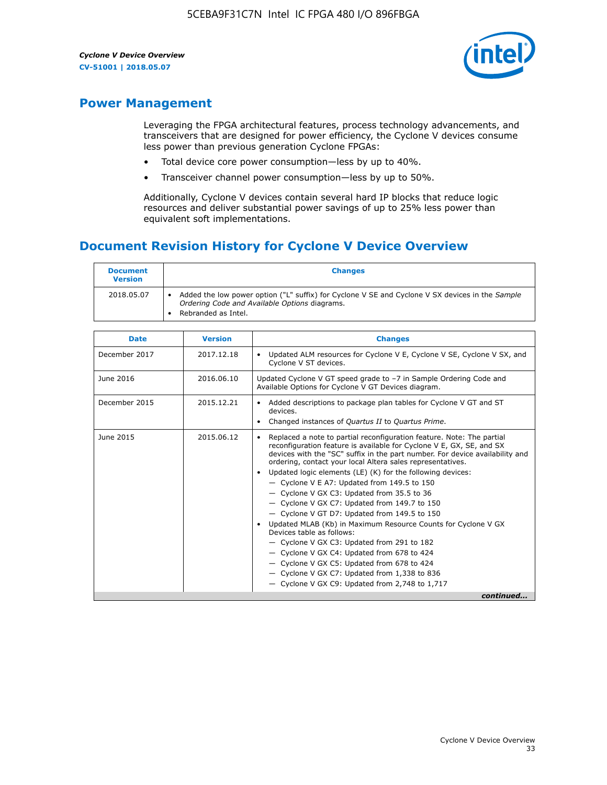

## **Power Management**

Leveraging the FPGA architectural features, process technology advancements, and transceivers that are designed for power efficiency, the Cyclone V devices consume less power than previous generation Cyclone FPGAs:

- Total device core power consumption—less by up to 40%.
- Transceiver channel power consumption—less by up to 50%.

Additionally, Cyclone V devices contain several hard IP blocks that reduce logic resources and deliver substantial power savings of up to 25% less power than equivalent soft implementations.

## **Document Revision History for Cyclone V Device Overview**

| <b>Document</b><br><b>Version</b> | <b>Changes</b>                                                                                                                                                          |
|-----------------------------------|-------------------------------------------------------------------------------------------------------------------------------------------------------------------------|
| 2018.05.07                        | Added the low power option ("L" suffix) for Cyclone V SE and Cyclone V SX devices in the Sample<br>Ordering Code and Available Options diagrams.<br>Rebranded as Intel. |

| <b>Date</b>   | <b>Version</b> | <b>Changes</b>                                                                                                                                                                                                                                                                                                                                                                                                                                                                                                                                                                                                                                                                                                                                                                                                                                                                                                    |
|---------------|----------------|-------------------------------------------------------------------------------------------------------------------------------------------------------------------------------------------------------------------------------------------------------------------------------------------------------------------------------------------------------------------------------------------------------------------------------------------------------------------------------------------------------------------------------------------------------------------------------------------------------------------------------------------------------------------------------------------------------------------------------------------------------------------------------------------------------------------------------------------------------------------------------------------------------------------|
| December 2017 | 2017.12.18     | Updated ALM resources for Cyclone V E, Cyclone V SE, Cyclone V SX, and<br>Cyclone V ST devices.                                                                                                                                                                                                                                                                                                                                                                                                                                                                                                                                                                                                                                                                                                                                                                                                                   |
| June 2016     | 2016.06.10     | Updated Cyclone V GT speed grade to -7 in Sample Ordering Code and<br>Available Options for Cyclone V GT Devices diagram.                                                                                                                                                                                                                                                                                                                                                                                                                                                                                                                                                                                                                                                                                                                                                                                         |
| December 2015 | 2015.12.21     | Added descriptions to package plan tables for Cyclone V GT and ST<br>devices.<br>Changed instances of Quartus II to Quartus Prime.<br>$\bullet$                                                                                                                                                                                                                                                                                                                                                                                                                                                                                                                                                                                                                                                                                                                                                                   |
| June 2015     | 2015.06.12     | Replaced a note to partial reconfiguration feature. Note: The partial<br>reconfiguration feature is available for Cyclone V E, GX, SE, and SX<br>devices with the "SC" suffix in the part number. For device availability and<br>ordering, contact your local Altera sales representatives.<br>Updated logic elements (LE) (K) for the following devices:<br>$\bullet$<br>- Cyclone V E A7: Updated from 149.5 to 150<br>- Cyclone V GX C3: Updated from 35.5 to 36<br>- Cyclone V GX C7: Updated from 149.7 to 150<br>- Cyclone V GT D7: Updated from 149.5 to 150<br>• Updated MLAB (Kb) in Maximum Resource Counts for Cyclone V GX<br>Devices table as follows:<br>- Cyclone V GX C3: Updated from 291 to 182<br>- Cyclone V GX C4: Updated from 678 to 424<br>- Cyclone V GX C5: Updated from 678 to 424<br>- Cyclone V GX C7: Updated from 1,338 to 836<br>$-$ Cyclone V GX C9: Updated from 2,748 to 1,717 |
|               |                | continued                                                                                                                                                                                                                                                                                                                                                                                                                                                                                                                                                                                                                                                                                                                                                                                                                                                                                                         |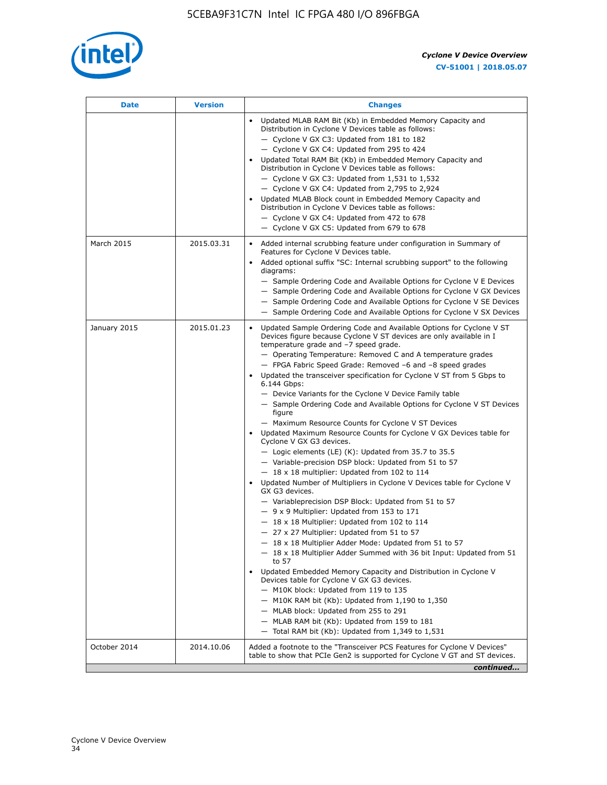

| <b>Date</b>  | <b>Version</b> | <b>Changes</b>                                                                                                                                                                                                                                                                                                                                                                                                                                                                                                                                                                                                                                                                                                                                                                                                                                                                                                                                                                                                                                                                                                                                                                                                                                                                                                                                                                                                                                                                                                                                                                                                                                                                                                |
|--------------|----------------|---------------------------------------------------------------------------------------------------------------------------------------------------------------------------------------------------------------------------------------------------------------------------------------------------------------------------------------------------------------------------------------------------------------------------------------------------------------------------------------------------------------------------------------------------------------------------------------------------------------------------------------------------------------------------------------------------------------------------------------------------------------------------------------------------------------------------------------------------------------------------------------------------------------------------------------------------------------------------------------------------------------------------------------------------------------------------------------------------------------------------------------------------------------------------------------------------------------------------------------------------------------------------------------------------------------------------------------------------------------------------------------------------------------------------------------------------------------------------------------------------------------------------------------------------------------------------------------------------------------------------------------------------------------------------------------------------------------|
|              |                | Updated MLAB RAM Bit (Kb) in Embedded Memory Capacity and<br>Distribution in Cyclone V Devices table as follows:<br>- Cyclone V GX C3: Updated from 181 to 182<br>- Cyclone V GX C4: Updated from 295 to 424<br>Updated Total RAM Bit (Kb) in Embedded Memory Capacity and<br>Distribution in Cyclone V Devices table as follows:<br>- Cyclone V GX C3: Updated from $1,531$ to $1,532$<br>- Cyclone V GX C4: Updated from 2,795 to 2,924<br>Updated MLAB Block count in Embedded Memory Capacity and<br>Distribution in Cyclone V Devices table as follows:<br>- Cyclone V GX C4: Updated from 472 to 678<br>- Cyclone V GX C5: Updated from 679 to 678                                                                                                                                                                                                                                                                                                                                                                                                                                                                                                                                                                                                                                                                                                                                                                                                                                                                                                                                                                                                                                                      |
| March 2015   | 2015.03.31     | Added internal scrubbing feature under configuration in Summary of<br>$\bullet$<br>Features for Cyclone V Devices table.<br>Added optional suffix "SC: Internal scrubbing support" to the following<br>diagrams:<br>- Sample Ordering Code and Available Options for Cyclone V E Devices<br>- Sample Ordering Code and Available Options for Cyclone V GX Devices<br>- Sample Ordering Code and Available Options for Cyclone V SE Devices<br>- Sample Ordering Code and Available Options for Cyclone V SX Devices                                                                                                                                                                                                                                                                                                                                                                                                                                                                                                                                                                                                                                                                                                                                                                                                                                                                                                                                                                                                                                                                                                                                                                                           |
| January 2015 | 2015.01.23     | Updated Sample Ordering Code and Available Options for Cyclone V ST<br>Devices figure because Cyclone V ST devices are only available in I<br>temperature grade and -7 speed grade.<br>- Operating Temperature: Removed C and A temperature grades<br>- FPGA Fabric Speed Grade: Removed -6 and -8 speed grades<br>Updated the transceiver specification for Cyclone V ST from 5 Gbps to<br>6.144 Gbps:<br>- Device Variants for the Cyclone V Device Family table<br>- Sample Ordering Code and Available Options for Cyclone V ST Devices<br>figure<br>- Maximum Resource Counts for Cyclone V ST Devices<br>Updated Maximum Resource Counts for Cyclone V GX Devices table for<br>Cyclone V GX G3 devices.<br>$-$ Logic elements (LE) (K): Updated from 35.7 to 35.5<br>- Variable-precision DSP block: Updated from 51 to 57<br>$-18 \times 18$ multiplier: Updated from 102 to 114<br>Updated Number of Multipliers in Cyclone V Devices table for Cyclone V<br>GX G3 devices.<br>- Variableprecision DSP Block: Updated from 51 to 57<br>$-9x9$ Multiplier: Updated from 153 to 171<br>$-18 \times 18$ Multiplier: Updated from 102 to 114<br>- 27 x 27 Multiplier: Updated from 51 to 57<br>- 18 x 18 Multiplier Adder Mode: Updated from 51 to 57<br>$-18 \times 18$ Multiplier Adder Summed with 36 bit Input: Updated from 51<br>to 57<br>Updated Embedded Memory Capacity and Distribution in Cyclone V<br>Devices table for Cyclone V GX G3 devices.<br>- M10K block: Updated from 119 to 135<br>- M10K RAM bit (Kb): Updated from 1,190 to 1,350<br>- MLAB block: Updated from 255 to 291<br>- MLAB RAM bit (Kb): Updated from 159 to 181<br>$-$ Total RAM bit (Kb): Updated from 1,349 to 1,531 |
| October 2014 | 2014.10.06     | Added a footnote to the "Transceiver PCS Features for Cyclone V Devices"<br>table to show that PCIe Gen2 is supported for Cyclone V GT and ST devices.                                                                                                                                                                                                                                                                                                                                                                                                                                                                                                                                                                                                                                                                                                                                                                                                                                                                                                                                                                                                                                                                                                                                                                                                                                                                                                                                                                                                                                                                                                                                                        |
|              |                | continued                                                                                                                                                                                                                                                                                                                                                                                                                                                                                                                                                                                                                                                                                                                                                                                                                                                                                                                                                                                                                                                                                                                                                                                                                                                                                                                                                                                                                                                                                                                                                                                                                                                                                                     |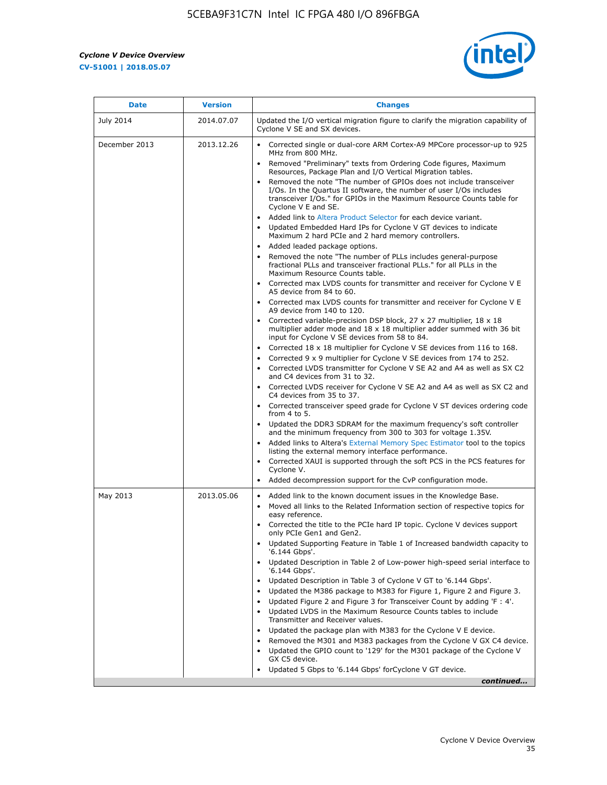r



| <b>Date</b>   | <b>Version</b> | <b>Changes</b>                                                                                                                                                                                                                           |
|---------------|----------------|------------------------------------------------------------------------------------------------------------------------------------------------------------------------------------------------------------------------------------------|
| July 2014     | 2014.07.07     | Updated the I/O vertical migration figure to clarify the migration capability of<br>Cyclone V SE and SX devices.                                                                                                                         |
| December 2013 | 2013.12.26     | Corrected single or dual-core ARM Cortex-A9 MPCore processor-up to 925<br>MHz from 800 MHz.                                                                                                                                              |
|               |                | Removed "Preliminary" texts from Ordering Code figures, Maximum<br>Resources, Package Plan and I/O Vertical Migration tables.                                                                                                            |
|               |                | Removed the note "The number of GPIOs does not include transceiver<br>I/Os. In the Quartus II software, the number of user I/Os includes<br>transceiver I/Os." for GPIOs in the Maximum Resource Counts table for<br>Cyclone V E and SE. |
|               |                | Added link to Altera Product Selector for each device variant.<br>Updated Embedded Hard IPs for Cyclone V GT devices to indicate<br>Maximum 2 hard PCIe and 2 hard memory controllers.                                                   |
|               |                | • Added leaded package options.                                                                                                                                                                                                          |
|               |                | Removed the note "The number of PLLs includes general-purpose<br>fractional PLLs and transceiver fractional PLLs." for all PLLs in the<br>Maximum Resource Counts table.                                                                 |
|               |                | • Corrected max LVDS counts for transmitter and receiver for Cyclone V E<br>A5 device from 84 to 60.                                                                                                                                     |
|               |                | • Corrected max LVDS counts for transmitter and receiver for Cyclone V E<br>A9 device from 140 to 120.                                                                                                                                   |
|               |                | Corrected variable-precision DSP block, 27 x 27 multiplier, 18 x 18<br>multiplier adder mode and 18 x 18 multiplier adder summed with 36 bit<br>input for Cyclone V SE devices from 58 to 84.                                            |
|               |                | Corrected 18 x 18 multiplier for Cyclone V SE devices from 116 to 168.                                                                                                                                                                   |
|               |                | Corrected 9 x 9 multiplier for Cyclone V SE devices from 174 to 252.                                                                                                                                                                     |
|               |                | • Corrected LVDS transmitter for Cyclone V SE A2 and A4 as well as SX C2<br>and C4 devices from 31 to 32.                                                                                                                                |
|               |                | • Corrected LVDS receiver for Cyclone V SE A2 and A4 as well as SX C2 and<br>C4 devices from 35 to 37.                                                                                                                                   |
|               |                | • Corrected transceiver speed grade for Cyclone V ST devices ordering code<br>from 4 to 5.                                                                                                                                               |
|               |                | • Updated the DDR3 SDRAM for the maximum frequency's soft controller<br>and the minimum frequency from 300 to 303 for voltage 1.35V.                                                                                                     |
|               |                | Added links to Altera's External Memory Spec Estimator tool to the topics<br>listing the external memory interface performance.                                                                                                          |
|               |                | • Corrected XAUI is supported through the soft PCS in the PCS features for<br>Cyclone V.                                                                                                                                                 |
|               |                | Added decompression support for the CvP configuration mode.                                                                                                                                                                              |
| May 2013      | 2013.05.06     | Added link to the known document issues in the Knowledge Base.<br>$\bullet$<br>Moved all links to the Related Information section of respective topics for<br>$\bullet$<br>easy reference.                                               |
|               |                | • Corrected the title to the PCIe hard IP topic. Cyclone V devices support<br>only PCIe Gen1 and Gen2.                                                                                                                                   |
|               |                | • Updated Supporting Feature in Table 1 of Increased bandwidth capacity to<br>'6.144 Gbps'.                                                                                                                                              |
|               |                | Updated Description in Table 2 of Low-power high-speed serial interface to<br>'6.144 Gbps'.                                                                                                                                              |
|               |                | Updated Description in Table 3 of Cyclone V GT to '6.144 Gbps'.                                                                                                                                                                          |
|               |                | Updated the M386 package to M383 for Figure 1, Figure 2 and Figure 3.<br>$\bullet$                                                                                                                                                       |
|               |                | Updated Figure 2 and Figure 3 for Transceiver Count by adding 'F : 4'.<br>$\bullet$                                                                                                                                                      |
|               |                | Updated LVDS in the Maximum Resource Counts tables to include<br>Transmitter and Receiver values.                                                                                                                                        |
|               |                | Updated the package plan with M383 for the Cyclone V E device.                                                                                                                                                                           |
|               |                | Removed the M301 and M383 packages from the Cyclone V GX C4 device.<br>Updated the GPIO count to '129' for the M301 package of the Cyclone V                                                                                             |
|               |                | GX C5 device.                                                                                                                                                                                                                            |
|               |                | Updated 5 Gbps to '6.144 Gbps' for Cyclone V GT device.                                                                                                                                                                                  |
|               |                | continued                                                                                                                                                                                                                                |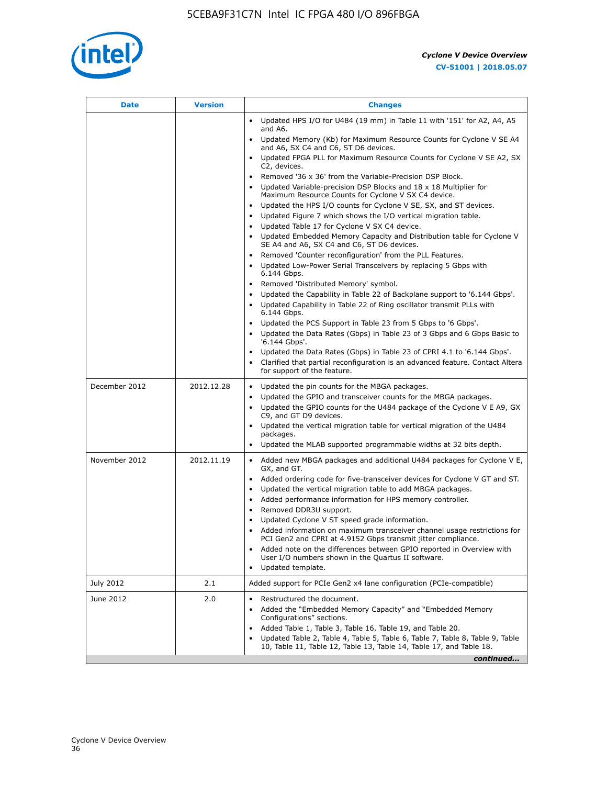

| <b>Date</b>   | <b>Version</b> | <b>Changes</b>                                                                                                                                                |
|---------------|----------------|---------------------------------------------------------------------------------------------------------------------------------------------------------------|
|               |                | Updated HPS I/O for U484 (19 mm) in Table 11 with '151' for A2, A4, A5<br>and A6.                                                                             |
|               |                | Updated Memory (Kb) for Maximum Resource Counts for Cyclone V SE A4<br>and A6, SX C4 and C6, ST D6 devices.                                                   |
|               |                | Updated FPGA PLL for Maximum Resource Counts for Cyclone V SE A2, SX<br>C2, devices.                                                                          |
|               |                | Removed '36 x 36' from the Variable-Precision DSP Block.                                                                                                      |
|               |                | Updated Variable-precision DSP Blocks and $18 \times 18$ Multiplier for<br>Maximum Resource Counts for Cyclone V SX C4 device.                                |
|               |                | Updated the HPS I/O counts for Cyclone V SE, SX, and ST devices.<br>$\bullet$                                                                                 |
|               |                | Updated Figure 7 which shows the I/O vertical migration table.                                                                                                |
|               |                | Updated Table 17 for Cyclone V SX C4 device.<br>$\bullet$<br>• Updated Embedded Memory Capacity and Distribution table for Cyclone V                          |
|               |                | SE A4 and A6, SX C4 and C6, ST D6 devices.                                                                                                                    |
|               |                | Removed 'Counter reconfiguration' from the PLL Features.                                                                                                      |
|               |                | Updated Low-Power Serial Transceivers by replacing 5 Gbps with<br>6.144 Gbps.                                                                                 |
|               |                | Removed 'Distributed Memory' symbol.<br>$\bullet$                                                                                                             |
|               |                | Updated the Capability in Table 22 of Backplane support to '6.144 Gbps'.<br>$\bullet$<br>Updated Capability in Table 22 of Ring oscillator transmit PLLs with |
|               |                | 6.144 Gbps.                                                                                                                                                   |
|               |                | Updated the PCS Support in Table 23 from 5 Gbps to '6 Gbps'.                                                                                                  |
|               |                | Updated the Data Rates (Gbps) in Table 23 of 3 Gbps and 6 Gbps Basic to<br>$\bullet$<br>'6.144 Gbps'.                                                         |
|               |                | Updated the Data Rates (Gbps) in Table 23 of CPRI 4.1 to '6.144 Gbps'.                                                                                        |
|               |                | Clarified that partial reconfiguration is an advanced feature. Contact Altera<br>for support of the feature.                                                  |
| December 2012 | 2012.12.28     | Updated the pin counts for the MBGA packages.<br>$\bullet$                                                                                                    |
|               |                | Updated the GPIO and transceiver counts for the MBGA packages.<br>$\bullet$                                                                                   |
|               |                | Updated the GPIO counts for the U484 package of the Cyclone V E A9, GX<br>C9, and GT D9 devices.                                                              |
|               |                | Updated the vertical migration table for vertical migration of the U484                                                                                       |
|               |                | packages.<br>Updated the MLAB supported programmable widths at 32 bits depth.                                                                                 |
|               |                |                                                                                                                                                               |
| November 2012 | 2012.11.19     | • Added new MBGA packages and additional U484 packages for Cyclone V E,<br>GX, and GT.                                                                        |
|               |                | Added ordering code for five-transceiver devices for Cyclone V GT and ST.<br>$\bullet$                                                                        |
|               |                | Updated the vertical migration table to add MBGA packages.<br>٠                                                                                               |
|               |                | Added performance information for HPS memory controller.<br>$\bullet$                                                                                         |
|               |                | Removed DDR3U support.<br>$\bullet$<br>Updated Cyclone V ST speed grade information.                                                                          |
|               |                | Added information on maximum transceiver channel usage restrictions for                                                                                       |
|               |                | PCI Gen2 and CPRI at 4.9152 Gbps transmit jitter compliance.                                                                                                  |
|               |                | Added note on the differences between GPIO reported in Overview with<br>User I/O numbers shown in the Quartus II software.                                    |
|               |                | Updated template.                                                                                                                                             |
| July 2012     | 2.1            | Added support for PCIe Gen2 x4 lane configuration (PCIe-compatible)                                                                                           |
| June 2012     | 2.0            | Restructured the document.<br>٠                                                                                                                               |
|               |                | Added the "Embedded Memory Capacity" and "Embedded Memory<br>Configurations" sections.                                                                        |
|               |                | Added Table 1, Table 3, Table 16, Table 19, and Table 20.                                                                                                     |
|               |                | Updated Table 2, Table 4, Table 5, Table 6, Table 7, Table 8, Table 9, Table<br>10, Table 11, Table 12, Table 13, Table 14, Table 17, and Table 18.           |
|               |                | continued                                                                                                                                                     |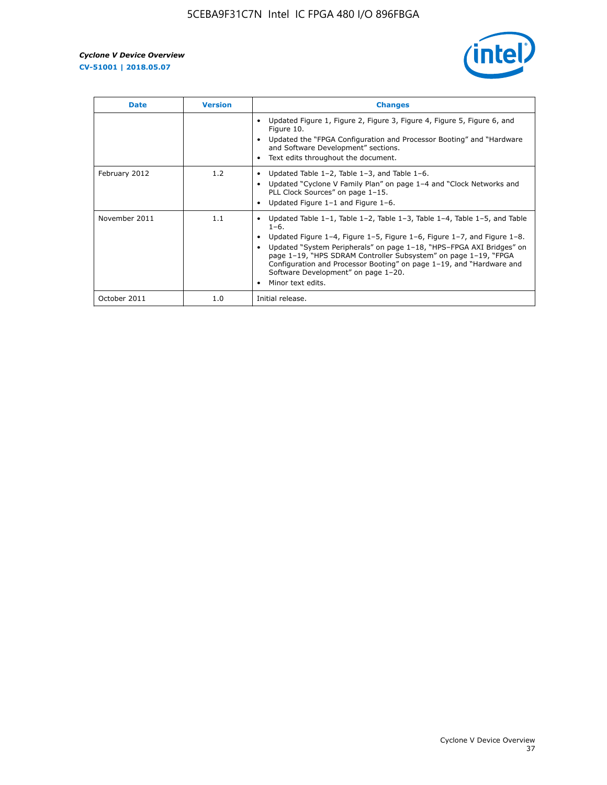

| <b>Date</b>   | <b>Version</b> | <b>Changes</b>                                                                                                                                                                                                                                                                                                                                                                                                                                                 |
|---------------|----------------|----------------------------------------------------------------------------------------------------------------------------------------------------------------------------------------------------------------------------------------------------------------------------------------------------------------------------------------------------------------------------------------------------------------------------------------------------------------|
|               |                | Updated Figure 1, Figure 2, Figure 3, Figure 4, Figure 5, Figure 6, and<br>Figure 10.<br>Updated the "FPGA Configuration and Processor Booting" and "Hardware"<br>and Software Development" sections.<br>Text edits throughout the document.                                                                                                                                                                                                                   |
| February 2012 | 1.2            | Updated Table $1-2$ , Table $1-3$ , and Table $1-6$ .<br>Updated "Cyclone V Family Plan" on page 1-4 and "Clock Networks and<br>PLL Clock Sources" on page 1-15.<br>Updated Figure $1-1$ and Figure $1-6$ .                                                                                                                                                                                                                                                    |
| November 2011 | 1.1            | Updated Table $1-1$ , Table $1-2$ , Table $1-3$ , Table $1-4$ , Table $1-5$ , and Table<br>$1 - 6$ .<br>Updated Figure 1-4, Figure 1-5, Figure 1-6, Figure 1-7, and Figure 1-8.<br>Updated "System Peripherals" on page 1-18, "HPS-FPGA AXI Bridges" on<br>page 1-19, "HPS SDRAM Controller Subsystem" on page 1-19, "FPGA<br>Configuration and Processor Booting" on page 1-19, and "Hardware and<br>Software Development" on page 1-20.<br>Minor text edits. |
| October 2011  | 1.0            | Initial release.                                                                                                                                                                                                                                                                                                                                                                                                                                               |